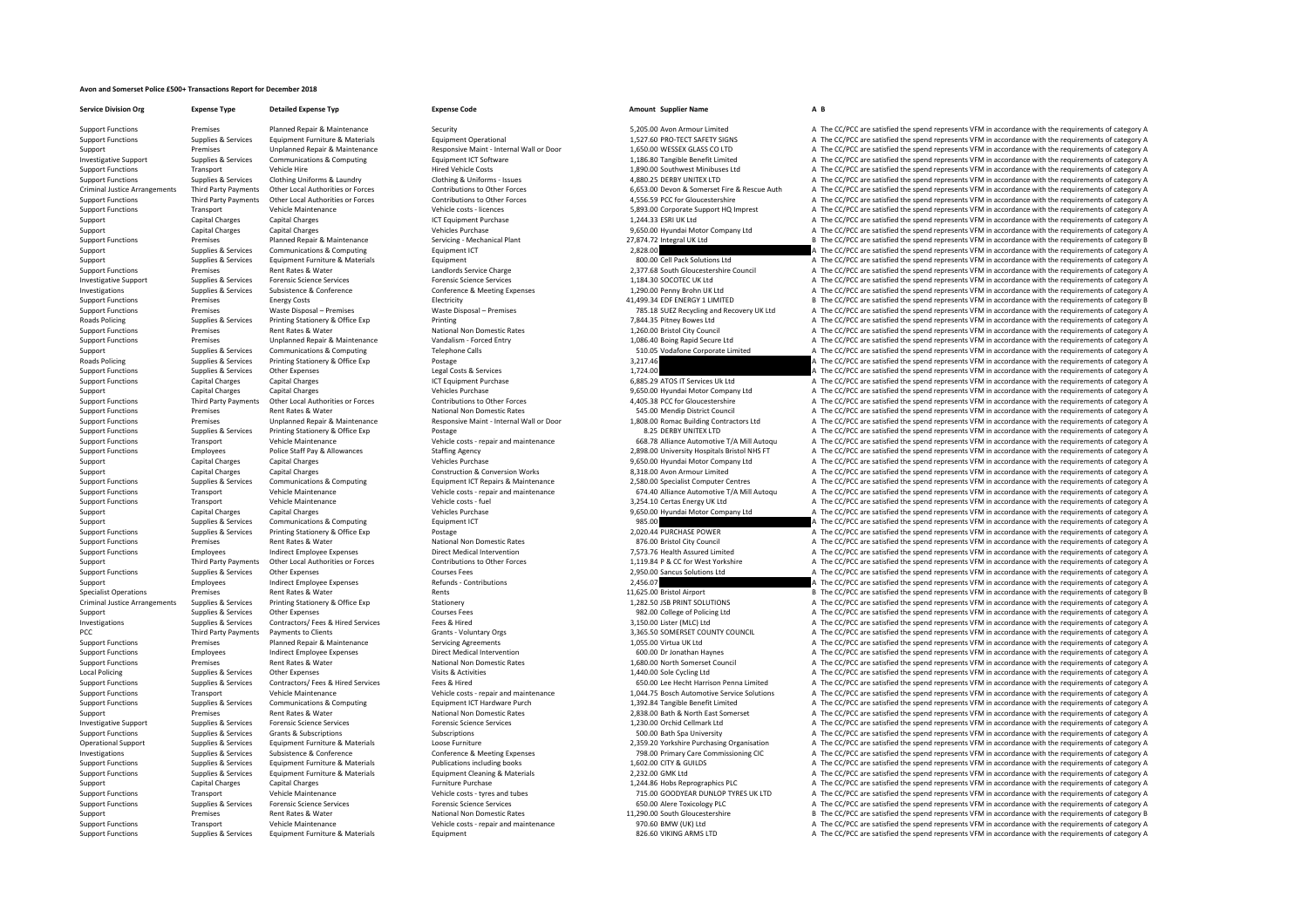## **Avon and Somerset Police £500+ Transactions Report for December 2018**

**Service Division Org Expense Type Detailed Expense Typ Expense Code Amount Supplier Name A B**

Support Functions Premises Planned Repair & Maintenance Security Security Security Security 5,205.00 Avon Armour Limited A The CC/PCC are satisfied the spend represents VFM in accordance with the requirements of category A Support Functions Supplies & Services Equipment Furniture & Materials Equipment Operational 1,527.60 PRO‐TECT SAFETY SIGNS A The CC/PCC are satisfied the spend represents VFM in accordance with the requirements of category Support Premises Unplanned Repair & Maintenance Responsive Maint – Internal Wall or Door 1,650.00 WESSEX GLASS CO LTD A The CC/PCC are satisfied the spend represents VFM in accordance with the requirements of category A Th Equipment ICT Software example the computer of the Separate United May a The CC/PCC are satisfied the spend represents VFM in accordance with the requirements of category A<br>Hired Vehicle Costs (and the requirements of cate Support Transport Vehicle Hire Vehicle Hire Hire Vehicle Costs 1,890.00 Southwest Minibuses Ltd A The CC/PCC are satisfied the spend represents VFM in accordance with the requirements of category A The CORC are satisfied t Support Functions Supplies & Services Clothing Uniforms & Laundry Clothing & Uniforms – Issues 4,880.25 DERBY UNITEX LTD A The CC/PCC are satisfied the spend represents VFM in accordance with the requirements of category A Criminal Justice Arrangements Third Party Payments Other Local Authorities or Forces Contributions to Other Forces Contributions to Other Forces of the Consumer Support Fire & Rescue Auth A The CC/PCC are satisfied the spe Support Functions and EC/PCC are satisfied the spend represents VFM in accordance with the requirements of category A<br>Support Functions and the Cross-licences vehicle Maintenance or vehicle costs licences vehicle costs lic Transport Vehicle Maintenance vehicle costs – licences vehicle costs – licences 5,893.00 Corporate Support HQ Imprest A The CC/PCC are satisfied the spend represents VFM in accordance with the requirements of category A Th Support Capital Charges Capital Charges ICT Equipment Purchase 1,244.33 ESRI UK Ltd A The CC/PCC are satisfied the spend represents VFM in accordance with the requirements of category A Support Capital Charges Capital Charges Capital Charges Anantenance Vehicles Purchase Vehicles Purchase 9,650.00 Hyundai Motor Company Ltd A The CC/PCC are satisfied the spend represents VFM in accordance with the requirem Support Functions Premises Planned Repair & Maintenance Servicing - Mechanical Plant 27,874.72 Integral UK Ltd B The CC/PCC are satisfied the spend represents VFM in accordance with the requirements of category B Support Supplies & Services Communications & Computing Equipment ICT 2,828.00 2,828.00 A The CC/PCC are satisfied the spend represents VFM in accordance with the requirements of category A The Criminal are satisfied the sp Support Support Support Support Support Support Support Support Support Support Support Support Support Support<br>Support Functions A The CC/PCC are satisfied the spend represents VFM in accordance with the requirements of c Examples Rent Rates & Water Mater Council Candlords Service Charge 2,377.68 South Gloucestershire Council A The CC/PCC are satisfied the spend represents VFM in accordance with the requirements of category A The CO/PCC are Investigative Support Support Support Support Supported Forencia Conference Services Forence Conference Services Forence Conference Services Forence Conference Services Conference & Meeting Expenses 1,184.30 SOCOTEC UK Ltd Investigations Supplies & Services Subsistence & Conference Conference & Meeting Expenses 1,290.00 Penny Brohn UK Ltd A The CC/PCC are satisfied the spend represents VFM in accordance with the requirements of category A Support Functions Premises Energy Costs Energy Costs Alectricity Electricity Electricity And a manufacture and the spend represents of category B The CC/PCC are satisfied the spend represents VFM in accordance with the req Support Functions Premises Waste Disposal – Premises Waste Disposal – Premises Waste Disposal – Premises Waste Disposal – Premises Premises 785.18 SUEZ Recycling and Recovery UK Ltd A The CC/PCC are satisfied the spend rep Roads Policing Supplies & Services Printing Stationery & Office Exp Printing Printing Printing Printing Printing Printing Printing Printing Printing Printing and the States of The CC/PCC are satisfied the spend represents Support Functions Premises Rent Rates & Water National Non Domestic Rates 1,260.00 Bristol City Council <sup>A</sup> The CC/PCC are satisfied the spend represents VFM in accordance with the requirements of category A Support Functions Premises Unplanned Repair & Maintenance Vandalism - Forced Entry 1,086.40 Boing Rapid Secure Ltd A The CC/PCC are satisfied the spend represents VFM in accordance with the requirements of category A The C Support Support Support Support Support Support Support Support Support Support Support Support Support Support Support Support Support Support Support Support Support Support Support Support Support Support Support Suppor Postage 2006 Postage 3,217.46 A The CC/PCC are satisfied the spend represents VFM in accordance with the requirements of category A<br>A The CC/PCC are satisfied the spend represents VFM in accordance with the requirements of Support Functions Supplies & Services Char Expenses Legal Costs & Services Legal Costs & Services Legal Costs & Services 1,724.00 A The CC/PCC are satisfied the spend represents VFM in accordance with the requirements of c Support Functions Capital Charges Capital Charges Capital Charges Support Purchase ICT Equipment Purchase 6,885.29 ATOS IT Services Uk Ltd A The CC/PCC are satisfied the spend represents VFM in accordance with the requirem Support Capital Charges Capital Charges Capital Charges Vehicles Purchase Vehicles Purchase 9,650.00 Hyundai Motor Company Ltd A The CC/PCC are satisfied the spend represents VFM in accordance with the requirements of cate A The CC/PCC are satisfied the spend represents VFM in accordance with the requirements of category A Support Functions Premises Rent Rates & Water National Non Domestic Rates 545.00 Mendin District Council A The CC/PCC are satisfied the spend represents VFM in accordance with the requirements of category A Support Functions Premises Unplanned Repair & Maintenance Responsive Maint - Internal Wall or Door 1,808.00 Romac Building Contractors Ltd A The CC/PCC are satisfied the spend represents VFM in accordance with the requirem Support Functions Supplies & Services Printing Stationery & Office Exp Postage Protects represent and maintenance 8.25 DERBY UNITEX LTD A The CC/PCC are satisfied the spend represents VFM in accordance with the requirement Sunnort Eugenion Transport Chicago Chicago Vehicle Costs Chicago Vehicle Costs Chicago Vehicle Costs Chicago Vehicle Costs Chicago Vehicle Costs Chicago Vehicle Costs Chicago Vehicle Costs Chicago Vehicle Costs Costs Contr Support Functions Employees Police Staff Pay & Allowances Staffing Agency Staffing Agency 2,898.00 University Hospitals Bristol NHS FT A The CC/PCC are satisfied the spend represents VFM in accordance with the requirements Support Capital Charges Capital Charges Capital Charges Vehicles Purchase Vehicles Purchase 9,650.00 Hyundai Motor Company Ltd A The CC/PCC are satisfied the spend represents VFM in accordance with the requirements of cate Support Capital Charges Capital Charges Capital Charges Construction & Construction & Conversion Works 8,318.00 Avon Armour Limited A The CC/PCC are satisfied the spend represents VFM in accordance with the requirements of Support Functions Supplies & Services Communications & Communications & Communications & Communications & Communications & Communications For Form Functions (Cameral Cameral Cameral Cameral Cameral Cameral Cameral Cameral Vehicle Maintenance and Vehicle Costrephia and Maintenance of A40 Alliance Automotive T/A Mill Autoqu A The CC/PCC are satisfied the spend represents VFM in accordance with the requirements of category A Vehicle Costreptio Transport Vehicle Maintenance Vehicle costs -fuel vehicle costs -fuel 3,254.10 Certas Energy UK Ltd A The CC/PCC are satisfied the spend represents VFM in accordance with the requirements of category A Support Capital Charges Capital Charges Capital Charges A Vehicles Purchase Vehicles Purchase 9,650.00 Hyundai Motor Company Ltd A The CC/PCC are satisfied the spend represents VFM in accordance with the requirements of ca Support Supplies & Services Communications & Computing Equipment ICT Equipment ICT examples are apported and the CC/PCC are satisfied the spend represents VFM in accordance with the requirements of category A The CC/PCC ar Printing Stationery & Office Exp Postage 2,020,04 PURCHASE POWER 2,020.44 PURCHASE POWER A The CC/PCC are satisfied the spend represents VFM in accordance with the requirements of category A The Criteria and the requiremen Support Functions Premises Rent Rates & Water National Non Domestic Rates National Non Domestic Rates Rent Rates Rent Rates Rent Rates Rent Rates Rent Rates Rent Rates Rent Rates Rent Rates Rent Rates National Non Domestic Support Functions Employees Indirect Employee Expenses Direct Medical Intervention Direct Medical Intervention<br>Third Party Payments Other Local Authorities or Forces Contributions to Other Forces Contributions of Contribut Third Party Payments Other Local Authorities or Forces Contributions to Other Forces Contributions to Other Forces 1.119.84 P & CC for West Yorkshire A The CC/PCC are satisfied the spend represents VEM in accordance with t Support Functions Supplies & Services Other Expenses Courses Process Fees 2,950.00 Sancus Solutions Ltd A The CC/PCC are satisfied the spend represents VFM in accordance with the requirements of category A The CO/PCC are s Support Employees Indirect Employee Expenses Refunds - Contributions 2,456.07 2,456.07 A The CC/PCC are satisfied the spend represents VFM in accordance with the requirements of category A The Support Employees Represents Premises Rent Rates & Water Rents Rents Rents Rents Rents Rents Rents Rent Rents Rents Rents Rents Rents Rents Rents Rents Rents Rents Rents Rents Rents Rents Rents Rents Rents Rents Rents Rents Rents Rents Rents Rents Ren Criminal Justice Arrangements Supplies & Services Printing Stationery & Office Exp Stationery Stationery Stationery Stationery Stationery Stationery Stationery 1,282.50 JSB PRINT SOLUTIONS A The CC/PCC are satisfied the sp Support Supplies & Services Other Expenses Courses Fees Courses Fees Courses Fees 982.00 College of Policing Ltd A The CC/PCC are satisfied the spend represents VFM in accordance with the requirements of category A Investigations Supplies & Services Contractors/ Fees & Hired Services Fees & Hired Hired Services Fees & Hired 3,150.00 Lister (MLC) Ltd A The CC/PCC are satisfied the spend represents VFM in accordance with the requiremen PCC Third Party Payments Payments to Clients County County County County and a SAS SO SOMERSET COUNTY COUNCIL A The CC/PCC are satisfied the spend represents VFM in accordance with the requirements of category A Support Functions Premises Planned Repair & Maintenance Servicing Agreements Servicing Agreements 1,055.00 Virtua UK Ltd A The CC/PCC are satisfied the spend represents VFM in accordance with the requirements of category A Support Functions Employees Indirect Employee Expenses Direct Medical Intervention Direct Medical Intervention<br>Support Functions A The CC/PCC are satisfied the spend represents VFM in accordance with the requirements of ca Support Functions Premises Premises Rent Rates & Water National Non Domestic Rates National Non Domestic Rates 1,680.00 North Somerset Council A The CC/PCC are satisfied the spend represents VFM in accordance with the requ Local Policing Supplies & Services Other Expenses Visits & Activities 1,440.00 Sole Cycling Ltd <sup>A</sup> The CC/PCC are satisfied the spend represents VFM in accordance with the requirements of category A Support Functions Supplies & Services Contractors/ Fees & Hired Services Fees & Hired Fees & Hired Fees & Hired Fees & Hired Fees & Hired 650.001 Lee Hercht Harrison Penna Limited A The CC/PCC are satisfied the spend repre Support Europey Transport Medicie Maintenance Vehicle Costs repair and maintenance 1,044.75 Bosch Automotive Service Solutions A The CC/PCC are satisfied the spend represents VFM in accordance with the requirements of cate 1,392.84 Tangible Benefit Limited **A** The CC/PCC are satisfied the spend represents VFM in accordance with the requirements of category A<br>2,838.00 Bath & North East Somerset **A** The CC/PCC are satisfied the spend represent Support Premises Premises Antent Rates & Water National Non Domestic Rates National Non Domestic Rates 2,838.00 Bath & North East Somerset A The CC/PCC are satisfied the spend represents VFM in accordance with the requirem Investigative Support Supplies & Services Forensic Science Services Forensic Science Services Forensic Science Services Forensic Science Services Forensic Science Services and the control of the CC/PCC are satisfied the sp Supplies & Subscriptions Subscriptions Subscriptions Subscriptions Subscriptions Subscriptions Subscriptions Subscriptions Subscriptions Subscriptions Subscriptions Subscriptions Subscriptions Subscriptions Subscriptions a Operational Support Supplies & Services Equipment Furniture & Materials Loose Furniture 2,359.20 Yorkshire Purchasing Organisation <sup>A</sup> The CC/PCC are satisfied the spend represents VFM in accordance with the requirements of category A Investigations Supplies & Services Subsistence & Conference Conference Conference & Meeting Expenses Conference & Meeting Expenses 798.00 Primary Care Commissioning CIC A The CC/PCC are satisfied the soend represents VFM i Support Functions Supplies & Services Equipment Furniture & Materials Publications including books 1,602.00 CITY & GUILDS A The CC/PCC are satisfied the spend represents VFM in accordance with the requirements of category Support Functions Supplies & Services Equipment Furniture & Materials Equipment Cleaning & Materials 2,232.00 GMK Ltd A The CC/PCC are satisfied the spend represents VFM in accordance with the requirements of category A Support Capital Charges Capital Charges Furniture Purchase Furniture Purchase 1,244.86 Hobs Reprographics PLC A The CC/PCC are satisfied the spend represents VFM in accordance with the requirements of category A Support Functions Transport Vehicle Maintenance Vehicle Costs – tyres and tubes 715.00 GOODYEAR DUNLOP TYRES UK LTD A The CC/PCC are satisfied the spend represents VFM in accordance with the requirements of category A Cupp Support Functions Supplies & Services Forensic Science Services Forensic Science Services Forensic Science Services Forensic Science Services and the Support Functions and the CC/PCC are satisfied the spend represents VFM Support Premises Rent Rates & Water National Non Domestic Rates National Non Domestic Rates 11,290.00 South Gloucestershire B The CC/PCC are satisfied the spend represents VFM in accordance with the requirements of categor Support Functions Transport Vehicle Maintenance Vehicle Costs repair and maintenance 970.60 BMW (UK) Ltd A The CC/PCC are satisfied the spend represents VFM in accordance with the requirements of category A Support Functions Supplies & Services Equipment Furniture & Materials Equipment Equipment Buying and the services Equipment and the requirements of category A The CC/PCC are satisfied the spend represents VFM in accordance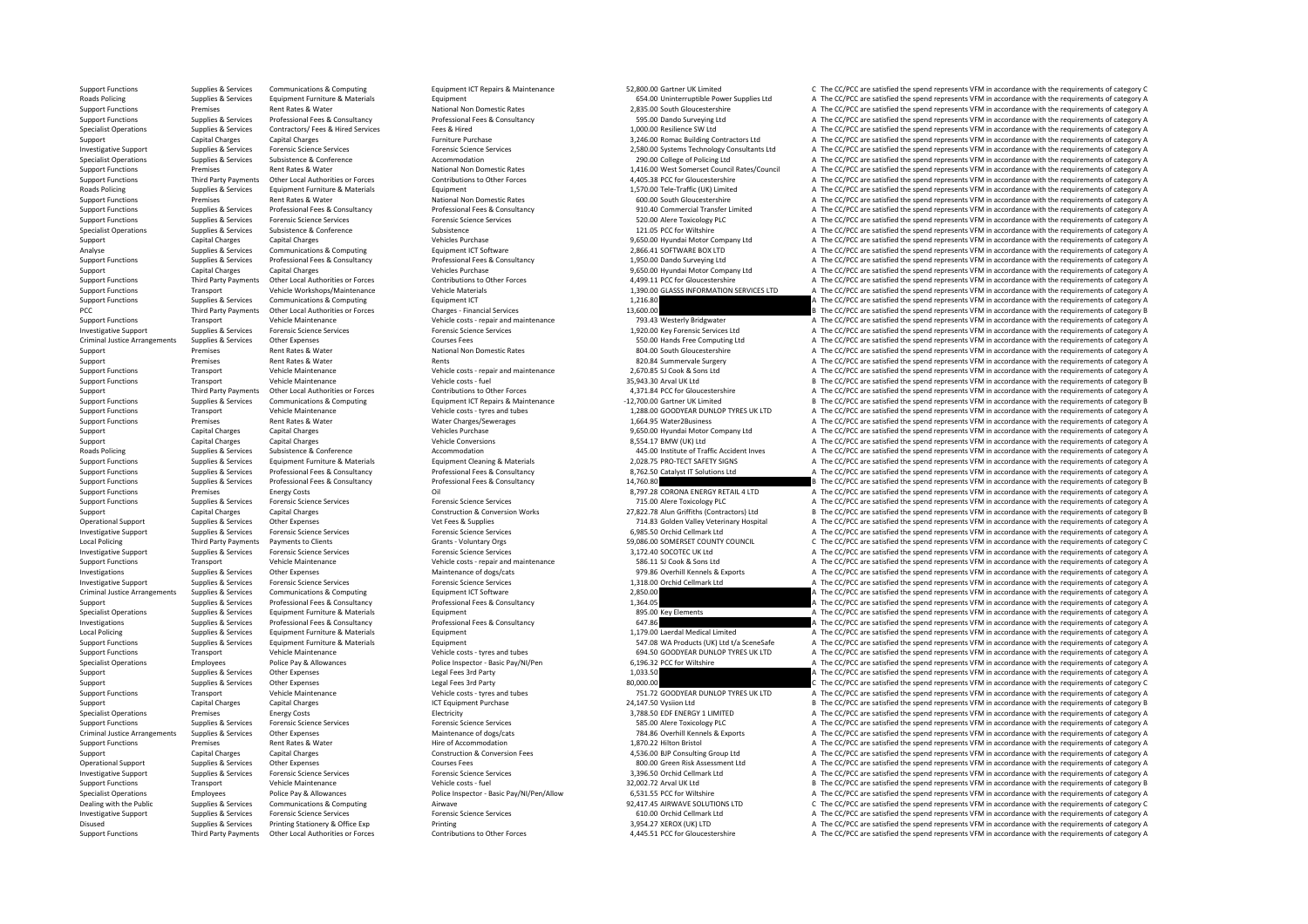Support Functions Third Party Payments Other Local Authorities or Forces Contributions to Other Forces 4,445.51 PCC for Gloucestershire <sup>A</sup> The CC/PCC are satisfied the spend represents VFM in accordance with the requirements of category A

Supplies & Services Communications & Computing Equipment ICT Repairs & Maintenance 52,800.00 Gartner UK Limited C The CC/PCC are satisfied the spend represents VFM in accordance with the requirements of category C Roads Policing Supplies Services Equipment Furniture & Materials Equipment Equipment of the Supplies Comment of the Supplies Adventuation Power Supplies Adventuation Power Supplies Adventuation Power Supplies A The CC/PCC Support Functions Premises Rent Rates Rent Rates National Non Domestic Rates 2, 235.00 South Gloucestershire A The CC/PCC are satisfied the spend represents VFM in accordance with the requirements of category A The CC/PC a Support Functions Supplies & Services Professional Fees & Consultancy Professional Fees & Consultancy Professional Fees & Consultancy Professional Fees & Consultancy Support Functions Supplies & Services Contractors/ Fees Supplies & Services Contractors/ Fees & Hired Services Fees & Hired Fees & Hired Fees & Hired 1,000.00 Resilience SW Ltd A The CC/PCC are satisfied the spend represents VFM in accordance with the requirements of category A Support Capital Charges Capital Charges Capital Charges Furniture Purchase Furniture Purchase 3,246.00 Romac Building Contractors Ltd A The CC/PCC are satisfied the spend represents VFM in accordance with the requirements Investigative Support Supplies & Services Forensic Science Services Forensic Science Services Forensic Science Services Forensic Science Services Forensic Science Services and College of DJS 2,580.00 Systems Technology Con Specialist Operations College of Policing Ltd A The CC/PCC are satisfied the spend represents VFM in accordance with the requirements of category A The CC/PCC are satisfied the spend represents VFM in accordance with the r Support Functions Premises Rent Rates & Water National Non Domestic Rates National Non Domestic Rates 2001 2014 1,416.00 West Somerset Council Rates/Council A The CC/PCC are satisfied the spend represents VFM in accordance Support Functions and Third Party Payments Other Local Authorities or Forces Contributions to Other Forces of the CASS PCC for Gloucestershire and the CC/PCC are satisfied the spend represents VFM in accordance with the re Roads Policing Supplies & Services Equipment European Equipment 1,570.00 Tele Traffic (UK) Limited A The CC/PCC are satisfied the spend represents VEM in accordance with the sourisments of category A Support Functions Premises Premises Rent Rates & Water National Non Domestic Rates National Non Domestic Rates National Non Domestic Rates A The CC/PCC are satisfied the spend represents VFM in accordance with the requirem Support Functions Supplies & Services Professional Fees & Consultancy Professional Fees & Consultancy Professional Fees & Consultancy Professional Fees & Consultancy 910.40 Commercial Transfer Limited A The CC/PCC are sati A The CC/PCC are satisfied the spend represents VFM in accordance with the requirements of category A Specialist Operations Supplies & Services Subsistence Subsistence Subsistence Subsistence Subsistence Subsistence Subsistence Subsistence Subsistence Subsistence Subsistence Subsistence Subsistence Subsistence Subsistence Support Capital Charges Capital Charges Capital Charges (and the spend represents VFM in accordance with the requirements of category A The CC/PCC are satisfied the spend represents VFM in accordance with the requirements Analyse Supplies & Services Communications & Computing Equipment ICT Software Equipment ICT Software 2,866.41 SOFTWARE BOX LTD A The CC/PCC are satisfied the spend represents VFM in accordance with the requirements of cate Support Functions Supplies & Services Professional Fees & Consultancy Professional Fees & Consultancy Professional Fees & Consultancy Consultancy 1,950.00 Dando Surveying Ltd Material A The CC/PCC are satisfied the spend r Support Capital Charges Capital Charges Capital Charges Support Vehicles Purchase 9,650.00 Hyundai Motor Company Ltd A The CC/PCC are satisfied the spend represents VFM in accordance with the requirements of category A The Third Party Payments Other Local Authorities or Forces Contributions to Other Forces Contributions to Other Forces and the CAPCC or estisted the spend represents VFM in accordance with the requirements of category A<br>Transp Support Functions Transport Vehicle Workshops/Maintenance Vehicle Materials Vehicle Materials 1,390.00 GLASSS INFORMATION SERVICES LTD A The CC/PCC are satisfied the spend represents VFM in accordance with the requirements Support Functions Supplies & Services Communications & Computing Equipment ICT Equipment ICT 1,216.80 A The CC/PCC are satisfied the spend represents VFM in accordance with the requirements of category A PCC Third Party Payments Other Local Authorities or Forces Charges - Financial Services Charges Charges Financial Services 13,600.00 B The CC/PCC are satisfied the spend represents VFM in accordance with the requirements o Support Functions Transport Vehicle Maintenance Vehicle Costs – repair and maintenance 793.43 Westerly Bridgwater A The CC/PCC are satisfied the spend represents VFM in accordance with the requirements of category A The CC A The CC/PCC are satisfied the spend represents VFM in accordance with the requirements of category A Criminal Justice Arrangements Supplies & Services Other Expenses Courses Courses Fees Courses Courses Fees Supplies Courses Courses Fees Supplies Courses Courses Courses Courses Courses Courses Courses Courses Courses and Support Premises Rent Rates & Water National Non Domestic Rates National Non Domestic Rates and A The CC/PCC are satisfied the spend represents VFM in accordance with the requirements of category A The CC/PCC are satisfied Support Premises Rents Rents Rents Rents Rents and maintenance and the Support Rent Rates Rent Rents A The CC/PCC are satisfied the spend represents VFM in accordance with the requirements of category A The CC/PCC are sati Support Functions Transport Vehicle Maintenance Vehicle Costs - repair and maintenance 2,670.85 SJ Cook & Sons Ltd A The CC/PCC are satisfied the spend represents VFM in accordance with the requirements of category A Theor Support Transport Vehicle Maintenance Vehicle costs – fuel Vehicle costs – fuel vehicle costs – fuel 35,943.30 Arval UK Ltd B The CC/PCC are satisfied the spend represents VFM in accordance with the requirements of categor Third Party Payments Other Local Authorities or Forces Contributions to Other Forces Contributions to Other Forces and AJ71.84 PCC for Gloucestershire and ATHe CC/PCC are satisfied the spend represents VFM in accordance wi Supplies & Services Communications & Computing Computing Equipment ICT Repairs & Maintenance 12,700.00 Gartner UK Limited B The CC/PCC are satisfied the spend represents VFM in accordance with the requirements of category Support Functions Transport Vehicle Maintenance Vehicle Costs - Wehicle costs - tyres and tubes 1,288.00 GOODYEAR DUNLOP TYRES UK LTD A The CC/PCC are satisfied the spend represents VEM in accordance with the requirements Support Functions Premises Rent Rates & Water Water Charges/Sewerages 1,664.95 Water2Business A The CC/PCC are satisfied the spend represents VFM in accordance with the requirements of category A Support Capital Charges Capital Charges Capital Charges Support Vehicles Purchase 9,650.00 Hyundai Motor Company Ltd A The CC/PCC are satisfied the spend represents VFM in accordance with the requirements of category A The Support Capital Charges Capital Charges Capital Charges Wehicle Conversions Vehicle Conversions 8,554.17 BMW (UK) Ltd A The CC/PCC are satisfied the spend represents VFM in accordance with the requirements of category A Th Roads Policing Supplies & Services Subsistence & Conference Accommodation 445.00 Institute of Traffic Accident Inves A The CC/PCC are satisfied the spend represents VFM in accordance with the requirements of category A The Support Functions Supplies & Services Equipment Furniture & Materials Equipment Cleaning & Materials Equipment Cleaning & Materials 2,028.75 PRO-TECT SAFETY SIGNS A The CC/PCC are satisfied the spend represents VFM in acco Support Functions Supplies & Services Professional Fees & Consultancy Professional Fees & Consultancy Professional Fees & Consultancy and a The CC/PCC are satisfied the spend represents VFM in accordance with the requireme Support Functions Supplies & Services Professional Fees & Consultancy Professional Fees & Consultancy Professional Fees & Consultancy Professional Fees & Consultancy Professional Fees & Consultancy 21,760.80 B The CC/PCC a Support Functions Premises Premises Energy Costs Category A Coll 8,197.28 CORONA ENERGY RETAIL A LTD A The CC/PCC are satisfied the spend represents VFM in accordance with the requirements of category A Cube Support Functi A The CC/PCC are satisfied the spend represents VFM in accordance with the requirements of category A Support Capital Charges Capital Charges Capital Charges Construction & Conversion Works 27,822.78 Alun Griffiths (Contractors) Ltd B The CC/PCC are satisfied the spend represents VFM in accordance with the requirements of Operational Support Supplies & Services Other Expenses Vertres Vertres Vet Frees & Supplies Vet Frees A Supplies Veterinary Hospital A The CC/PCC are satisfied the spend represents VFM in accordance with the requirements o Inversic Science Services Forensic Science Support Supplies Forensic Science Services Forensic Science Services Forensic Support A The CC/PCC are satisfied the spend represents VFM in accordance with the requirements of ca Local Policing Third Party Payments Payments of Clients Grants Clients Grants Voluntary Orgs Grants Crants Grants Grants Council C The CC/PCC are satisfied the spend represents VFM in accordance with the requirements of ca Investigative Support Support Support Support Support Support Support Support Services Forence Services Forensic Science Services Forensic Science Services Forensic Science Services and a state of the Support A The CC/PCC Support Functions Transport Vehicle Maintenance Vehicle Maintenance Vehicle costs repair and maintenance S86.11 SJ Cook & Sons Ltd A The CC/PCC are satisfied the spend represents VFM in accordance with the requirements of Investigations Supplies & Services Other Expenses Maintenance of dogs/cats Maintenance of dogs/cats 979.86 Overhill Kennels & Exports A The CC/PCC are satisfied the spend represents VFM in accordance with the requirements Investigative Support Support Support Supplies According to the Supplies of the Support Support Support Support Support Support Support Support Support Support Support Support Support Support Support Support Category A The Criminal Justice Arrangements Supplies & Services Communications & Computing Equipment ICT Software 2,850.00 A The CC/PCC are satisfied the spend represents VFM in accordance with the requirements of category A The Crimina Support Supplies & Services Professional Fees & Consultancy Professional Fees & Consultancy Professional Fees & Consultancy 1,364.05 A The CC/PCC are satisfied the spend represents VFM in accordance with the requirements o Supplies & Services Equipment Furniture & Materials Equipment Equipment Equipment Equipment Equipment and the Services and Equipment and the CC/PCC are satisfied the spend represents VFM in accordance with the requirements Investigations Supplies & Services Professional Fees & Consultancy Professional Fees & Consultancy Professional Fees & Consultancy 647.86 A The CC/PCC are satisfied the spend represents VFM in accordance with the requireme Local Policing Supplies A Services Equipment Furniture & Materials Equipment Equipment 1,179.00 Laerdal Medical Limited A The CC/PCC are satisfied the spend represents VFM in accordance with the requirements of category A Support Functions Supplies & Services Equipment Furniture & Materials Equipment Equipment Equipment Equipment<br>Support Functions Support Functions Transport Wehicle Maintenance Wehicle osts -tyres and tubes and tubes and th Support Functions Transport Vehicle Maintenance Vehicle Costs – tyres and tubes 694.50 GOODYEAR DUNLOP TYRES UK LTD A The CC/PCC are satisfied the spend represents VFM in accordance with the requirements of category A The Specialist Operations Employees Police Pay & Allowances Police Inspector - Basic Pay/NI/Pen 6,196.32 PCC for Wiltshire A The CC/PCC are satisfied the spend represents VFM in accordance with the requirements of category A T Support Support Support Support Support Support Support Support Support Support Support Support Support Support A<br>A The CC/PCC are satisfied the spend represents VFM in accordance with the requirements of category A<br>Ra 000 Support Support Support Support Support Support Support Support Support Support Support Support Support Support<br>Support Functions Manuform and the Support Support Vehicle Costs Press Vehicle costs - types and tubes and tub Support Transport Vehicle Maintenance Vehicle costs – tyres and tubes 751.72 GOODYEAR DUNLOP TYRES UK LTD A The CC/PCC are satisfied the spend represents VFM in accordance with the requirements of category A The COMEAR DUN Support Capital Charges Capital Charges ICT Equipment Purchase 24,147.50 Vysion Ltd B The CC/PCC are satisfied the spend represents VFM in accordance with the requirements of category B and Charges A The CC/PCC are satisf Specialist Operations Premises Premises Premises Energy Costs and Electricity Electricity A The COMENTED A The CC/PCC are satisfied the spend represents VFM in accordance with the requirements of category A Supplies & Serv Support Functions Supplies & Services Forensic Science Services Forensic Science Services Forensic Science Services Forensic Science Services Forensic Science Services Forensic Science Services 585.00 Alere Toxicology PLC Other Expenses<br>
Maintenance of dogs/cats<br>
Maintenance of dogs/cats<br>
Hire of Accommodation<br>
Hire of Accommodation<br>
Hire of Accommodation<br>
A The CC/PCC are satisfied the spend represents VFM in accordance with the requiremen Support Functions Premises Rent Rates & Water Hire of Accommodation Hire of Accommodation 1,870.22 Hilton Bristol A The CC/PCC are satisfied the spend represents VFM in accordance with the requirements of category A Support Capital Charges Capital Charges Capital Charges Construction & Construction & Conversion Fees 4,536.00 BJP Consulting Group Ltd A The CC/PCC are satisfied the spend represents VFM in accordance with the requirement Operational Support Supplies & Services Other Expenses Courses Fees Courses Fees 800.00 Green Risk Assessment Ltd A The CC/PCC are satisfied the spend represents VFM in accordance with the requirements of category A Investigative Support Supplies & Services Forensic Science Services Forensic Science Services Forensic Science Services Forensic Science Services and the services and a Support and the requirements of category A Transport Support Functions Transport Vehicle Maintenance Vehicle Maintenance Vehicle costs – fuel 32,002.72 Arval UK Itd B The CC/PCC are satisfied the spend represents VFM in accordance with the requirements of category B Specialist Operations Employees Police Pay & Allowances Police Inspector - Basic Pay/NI/Pen/Allow 6,531.55 PCC for Wiltshire ASS 1.55 PC for Miltshire ASS 1.55 PCC for Wiltshire ASS 201705 ATHE CC/PCC are satisfied the spe Dealing with the Public Supplies & Services Communications & Computing Airwave Airwave 92,417.45 AIRWAVE SOLUTIONS LTD C The CC/PCC are satisfied the spend represents VFM in accordance with the requirements of category C I Investigative Support Supplies & Services Forensic Science Services Forensic Science Services Forensic Science Services Forensic Science Services Forensic Science Services Forensic Science Services Forensic Science Service Disused Supplies & Services Printing Stationery & Office Exp Printing Printing Printing 3,954.27 XEROX (UK) LTD A The CC/PCC are satisfied the spend represents VFM in accordance with the requirements of category A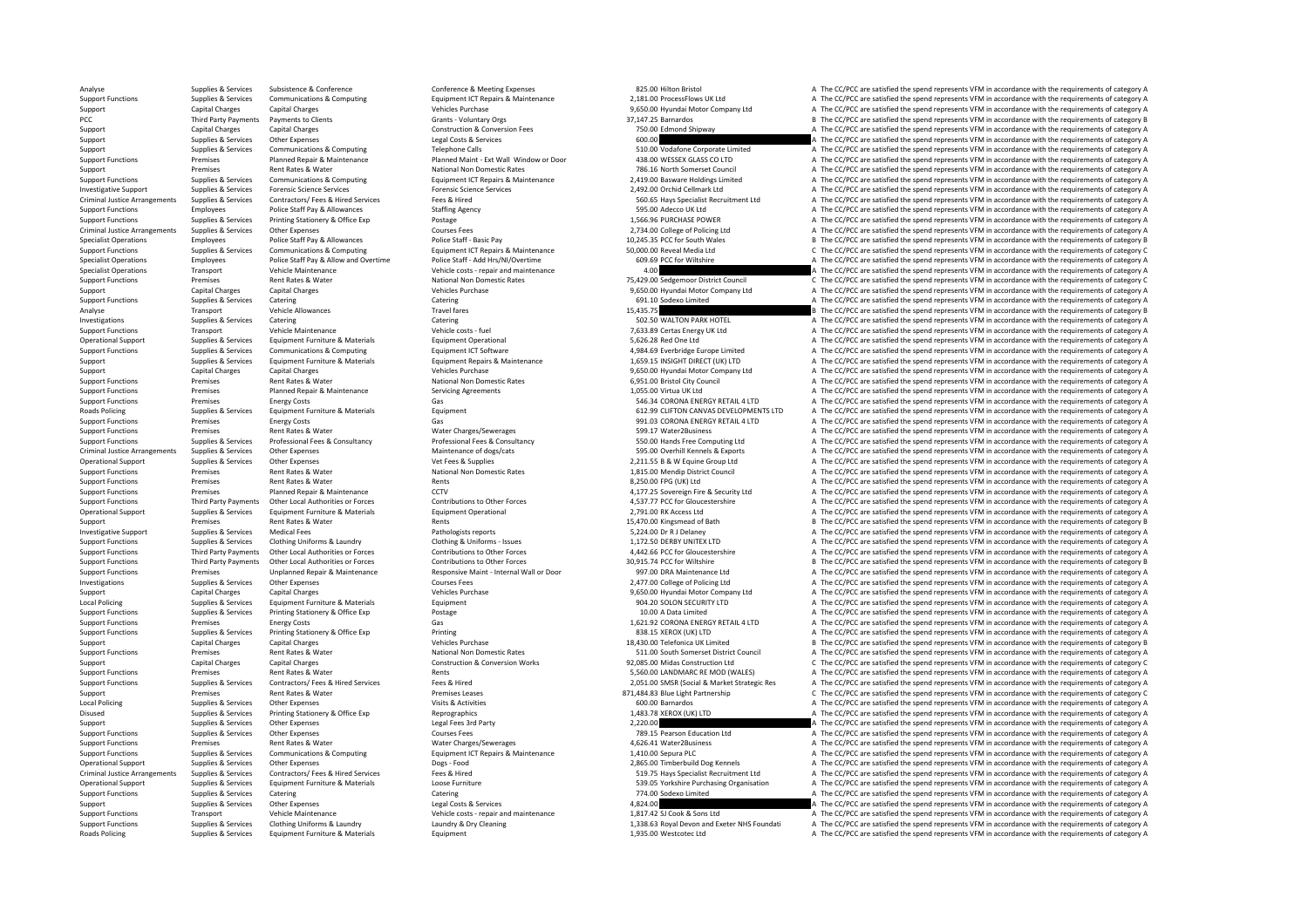Analyse Supplies & Services Subsistence & Conference Conference & Meeting Expenses 825.00 Hilton Bristol A The CC/PCC are satisfied the spend represents VFM in accordance with the requirements of category A The CC/PCC are Support Experimentations of the communications & Communications and the communications of the communications of the communications of the communications of the communications of the communications of the communications of Support Capital Charges Capital Charges Capital Charges Support Vehicles Purchase 9,650.00 Hyundai Motor Company Ltd A The CC/PCC are satisfied the spend represents VFM in accordance with the requirements of category A The PCC Third Party Payments Payments of Clients Scrants Verants - Voluntary Orgs Grants - Voluntary Orgs 37,147.25 Barnardos 37,147.25 Barnardos B The CC/PCC are satisfied the spend represents VFM in accordance with the requi Support Capital Charges Capital Charges Capital Charges Construction & Conversion Fees 750.00 Edmond Shipway A The CC/PCC are satisfied the spend represents VFM in accordance with the requirements of category A Support Sup Support Supplies & Services Other Expenses Material Costs & Services Legal Costs & Services A The CC/PCC are satisfied the spend represents VFM in accordance with the requirements of category A Support Support Support Support Support Support Support Support Support Support Support Support Support Support Support Support Support Support Support Support Support Support Support Support Support Support Support of the Promises and planned Benair & Maintenance Planned Maint - Ext Wall Window or Door and Ranned Maint - Ext Wall Window or Door and Ranned Context Context Context of category A The CC/PCC are satisfied the spend represents VE Support Premises Rent Rates & Water National Non Domestic Rates 786.16 North Somerset Council <sup>A</sup> The CC/PCC are satisfied the spend represents VFM in accordance with the requirements of category A Support Functions Supplies & Services Communications & Computing Equipment ICT Repairs & Maintenance 2,419.00 Basware Holdings Limited A The CC/PCC are satisfied the spend represents VFM in accordance with the requirements Investigative Support Support Support Support Services Forenic Science Services Forensic Sciences Control Services 2,492.00 Orchid Cellmark Ltd A The CC/PCC are satisfied the spend represents VFM in accordance with the req Criminal Justice Arrangements Supplies & Services Contractors/ Fees & Hired Services Fees & Hired Fees & Hired Fees & Hired Fees & Hired Fees & Hired Fees & Hired Fees & Hired Fees & Hired Fees & Hired Fees & Hired Fees Mi Support Functions Employees Police Staff Pay & Allowances Staffing Agency Staffing Agency Staffing Agency Staffing Agency Staffing Agency Staffing Agency Staffing Agency Staffing Agency Staffing Agency Staffing Agency Staf Support Functions Supplies & Services Printing Stationery & Office Exp Postage Printing Stationery & Office Exp Postage 1,566.96 PURCHASE POWER A The CC/PCC are satisfied the spend represents VFM in accordance with the req Criminal Criminal Arrangements Supplies Arrangements Supplies Arrangements Courses Fees 2,734.00 Courses 2,734.00 College of Policing Ltd A The CC/PCC are satisfied the spend represents VFM in accordance with the requireme Specialist Operations Employees Police Staff Pay & Allowances Police Staff - Basic Pay Police Staff - Basic Pay<br>Support Functions B The CC/PCC are satisfied the spend represents VFM in accordance with the requirements of c Communications & Computing Equipment ICT Repairs & Maintenance 50,000.00 Reveal Media Ltd C The CC/PCC are satisfied the spend represents VFM in accordance with the requirements of category C<br>
Police Staff David Multiply a Specialist Operations Employees Police Staff Pay & Allow and Overtime Police Staff - Add Hrs/NI/Overtime 603.69 PCC for Wiltshire 60.69 PCC for Wiltshire A The CC/PCC are satisfied the spend represents VFM in accordance wi Specialist Operations Center Vehicle Costs repair and maintenance and the Maintenance 1.00 A The CC/PCC are satisfied the spend represents VFM in accordance with the requirements of category A The CO/PCC are satisfied the Support Functions Premises Rent Rates & Water National Non Domestic Rates 75,429.00 Sedgemoor District Council C The CC/PCC are satisfied the spend represents VFM in accordance with the requirements of category C Support Capital Charges Capital Charges Vehicles Purchase 9,650.00 Hyundai Motor Company Ltd A The CC/PCC are satisfied the spend represents VFM in accordance with the requirements of category A Support Functions Supplies & Services Catering Catering Catering Catering Catering Catering Catering Catering Catering Catering Catering Catering Catering Catering Catering Catering Catering Catering Catering Catering Cate Analyse Transport Vehicle Allowances Travel fares Travel fares Travel fares and the CC/PCC are satisfied the spend represents VFM in accordance with the requirements of category B and the CC/PCC are satisfied the spend rep Investigations Supplies & Services Catering Catering Catering Catering Catering Catering Catering Catering Catering Catering Supplies and the CC/PCC are satisfied the spend represents VFM in accordance with the requirement Transport Vehicle Maintenance Vehicle Costs - fuel 7,633.89 Certas Energy UK Ltd A The CC/PCC are satisfied the spend represents VFM in accordance with the requirements of category A The CC/PC are satisfied the spend repre Operational Support Supplies & Services Equipment Furniture & Materials Equipment Operational Equipment Operational 5,626.28 Red One Ltd A The CC/PCC are satisfied the spend represents VFM in accordance with the requiremen Support Functions Supplies & Services Communications & Computing Equipment ICT Software Equipment ICT Software 4,984.69 Everbridge Europe Limited A The CC/PCC are satisfied the spend represents VFM in accordance with the r Equipment Repairs & Maintenance<br>
201659.15 INSIGHT DIRECT (UK) LTD A The CC/PCC are satisfied the spend represents VFM in accordance with the requirements of category A<br>
2016 - A The CC/PCC are satisfied the spend represen Support Capital Charges Capital Charges Capital Charges Capital Charges Vehicles Purchase 9,650.00 Hyundai Motor Company Ltd A The CC/PCC are satisfied the spend represents VFM in accordance with the requirements of catego Support Functions Premises Premises Rent Rates & Water National Non Domestic Rates National Non Domestic Rates 6,951.00 Bristol City Council A The CC/PCC are satisfied the spend represents VFM in accordance with the requir Support Functions Premises Planned Repair & Maintenance Servicing Agreements Servicing Agreements 1,055.00 Virtua UK Ltd A The CC/PCC are satisfied the spend represents VFM in accordance with the requirements of category A Fremises Energy Costs Costs Cas Cas Cas Case Content Costs Category A The CC/PCC are satisfied the spend represents VFM in accordance with the requirements of category A The COSTS Category A The CC/PCC are satisfied the s Roads Policing Supplies & Services Equipment Eurniture & Materials Equipment Equipment 612.99 CLIFTON CANVAS DEVELOPMENTS LTD A The CC/PCC are satisfied the spend represents VFM in accordance with the requirements of categ Support Functions Premises Energy Costs Gas Gas Gas Support Punctions and CORONA ENERGY RETAIL 4 LTD A The CC/PCC are satisfied the spend represents VFM in accordance with the requirements of category A Support Functions Premises Rent Rates & Water Mater Charges Mater Charges/Sewerages Semeland Support Functions A The CC/PCC are satisfied the spend represents VFM in accordance with the requirements of category A The conte Sunning Sunning Service Services Professional Fees & Consultancy Professional Fees & Consultancy Professional Fees & Consultancy Professional Fees & Consultancy Professional Fees & Consultancy Professional Fees & Consultan Criminal Justice Arrangements Supplies & Services Other Expenses Company Maintenance of dogs/cats Maintenance of dogs/cats 595.00 Overhill Kennels & Exports A The CC/PCC are satisfied the spend represents VFM in accordance Operational Support Supplies & Services Other Expenses 2008 Vet Fees & Supplies Vet Fees & Supplies 2,211.55 B & W Equine Group Ltd A The CC/PCC are satisfied the spend represents VFM in accordance with the requirements of Support Functions Premises Rent Rates & Water National Non Domestic Rates 1,815.00 Mendip District Council A The CC/PCC are satisfied the spend represents VFM in accordance with the requirements of category A The CONTECT A Support Functions Premises Rent Rates & Water Rents Rents Rents Rents Rents Rents Rents Rents Rent Rents Rents 8,250.00 FPG (UK) Ltd A The CC/PCC are satisfied the spend represents VFM in accordance with the requirements o Support Functions Premises Planned Repair & Maintenance CCTV CCTV 4,177.25 Sovereign Fire & Security Ltd A The CC/PCC are satisfied the spend represents VFM in accordance with the requirements of category A The CONCES CONT A The CC/PCC are satisfied the spend represents VFM in accordance with the requirements of category A Operational Support Supplies & Services Equipment Furniture & Materials Equipment Operational Equipment Operational 2,791.00 RK Access Ltd A The CC/PCC are satisfied the spend represents VFM in accordance with the requirem Support Premises Rent Rates & Water Rents Rents Rents Rents Rents Rents Rents Rents Rents Rents Rents Rents 15,470.00 Kingsmead of Bath B The CC/PCC are satisfied the spend represents VFM in accordance with the requirement Pathologists reports<br>
3,224.00 Dr R J Delaney A The CC/PCC are satisfied the spend represents VFM in accordance with the requirements of category A<br>
4. The CC/PCC are satisfied the spend represents VFM in accordance with t Support Functions Supplies & Services Clothing Uniforms & Laundry Clothing & Uniforms – Issues 1,172.50 DERBY UNITEX LTD A The CC/PCC are satisfied the spend represents VFM in accordance with the requirements of category A Contributions of the Contribution of Contributions of Contributions of Contributions of the Forces and the CONCOLECT ACTIVE ACTIVE ACTIVE ACTIVE ACTIVE AREA ACTIVE AND THE CONCORREGIST AND THE CONTRIBUTION OF THE CONTRIBUT B. The CC/PCC are satisfied the spend represents VEM in accordance with the requirements of category B. Support Functions Support Premises Maintene Expansive Maintenance Maintene Responsive Maintene Herral Wall or Door<br>1997.00 Courses and the CALC And Antene A The CCPCC are astisfied the spend represents VFM in accordance wi Other Expenses Courses Fees Courses Fees 2,477.00 College of Policing Ltd A The CC/PCC are satisfied the spend represents VFM in accordance with the requirements of category A The CC/PCC are satisfied the spend represents Support Capital Charges Capital Charges Purchase 9,650.00 Hyundai Motor Company Ltd A The CC/PCC are satisfied the spend represents VFM in accordance with the requirements of category A Local Policing Supplies Analysies Services Equipment Euriniture & Materials Equipment Equipment Equipment Equipment Pure and the COLON SECURITY LTD A The CC/PCC are satisfied the spend represents VFM in accordance with the Support Functions Supplies & Services Printing Stationery & Office Exp Postage Printing Stationery & Office Exp Postage Postage Printing Postage Printing Premiers of category A The CC/PCC are satisfied the spend represents Support Functions Premises Energy Costs Energy Costs Gas Category A Cases Cases Gas 1,621.92 CORONA ENERGY RETAIL 4 LTD A The CC/PCC are satisfied the spend represents VFM in accordance with the requirements of category A Support Functions Supplies & Services Printing Stationery & Office Exp Printing Printing Printing Printing Printing Bureau Printing Printing Bureau Printing and Definition and Definition and Definition and Definition and D Support Capital Charges Capital Charges Vehicles Purchase Vehicles Purchase 18,430.00 Telefonica UK Limited B The CC/PCC are satisfied the spend represents VFM in accordance with the requirements of category B Support Functions Premises Premises Rent Rates & Water National Non Domestic Rates National Non Domestic Rates National Rent Rates And A The CC/PCC are satisfied the spend represents VFM in accordance with the requirements Support Capital Charges Capital Charges Capital Charges Construction & Construction & Conversion Works 92,085.00 Midas Construction Ltd C The CC/PCC are satisfied the spend represents VFM in accordance with the requirement Premises Rent Rates & Water Rents Support Rents Rents Rents Rents Rents Rents Rents Rents Rents Rent Rates and Rents Rents Rents Rents Rents Rents Rents Rents Rents Rents Rents Rents Rents Rents Rents Rents Rents Rents Ren Support Functions Supplies & Services Contractors/ Fees & Hired Services Fees & Hired Expansives Fees & Hired Contractors/ Fees & Hired Fees & Hired Contractors Fees & Hired Contractors/ Fees & Hired Fees & Hired Contracto Support Premises Rent Rates & Water Premises Premises Premises Premises Premises Premises Premises Premises Premises Premises Premises Premises Premises Premises Premises Premises Premises and the category C The CC/PCC are EXPECT A SUPPLIES A SUPPLIES A SERVICE AT The CC/PCC are satisfied the spend represents VFM in accordance with the requirements of category A The CC/PCC are satisfied the spend represents VFM in accordance with the require Disused Supplies & Services Printing Stationery & Office Exp Reprographics Reprographics 1,483.78 XEROX (UK) LTD A The CC/PCC are satisfied the spend represents VFM in accordance with the requirements of category A Support Support Support Support Support Support Support Support Support Support Support Support Support Support Support<br>The CC/PCC are satisfied the spend represents VFM in accordance with the requirements of category A The CC/PCC Support Functions Support Functions Support Functions Supplies and A The CC/PCC are satisfied the spend represents VFM in accordance with the requirements of category A The CC/PCC are satisfied the spend represents VFM in Support Functions Premises Rent Rates & Water Water Charges/Sewerages 4,626.41 Water2Business A The CC/PCC are satisfied the spend represents VFM in accordance with the requirements of category A Support Functions Supplies & Services Communications & Computing Equipment ICT Repairs & Maintenance 1,410.00 Sepura PLC A The CC/PCC are satisfied the spend represents VFM in accordance with the requirements of category A Operational Support Supplies & Services Other Expenses Dogs - Food Dogs - Food 2,865.00 Timberbuild Dog Kennels A The CC/PCC are satisfied the spend represents VFM in accordance with the requirements of category A Criminal Justice Arrangements Supplies & Services Contractors/ Fees & Hired Services Fees & Hired Services Fees & Hired Fees & Hired Fees & Hired Fees A Hired Fees A Hired Fees A Hired Fees & Hired Fees A Hired Fees A Hire Operational Support Supplies & Services Equipment Furniture & Materials Loose Furniture Cose Furniture and the COSE Cose of the COSE of the COPCC are satisfied the spend represents VFM in accordance with the requirements o Support Functions Supplies & Services Catering Catering Catering Catering Catering Catering Catering Catering Catering a The CC/PCC are satisfied the spend represents VFM in accordance with the requirements of category A T Support Support Support Support Support Support Support Support Support Support Support Support Support Support<br>Transport Contents of Contents of Center Are and Vehicle Maintenance Vehicle costs repair and maintenance 1,81 Support Functions Transport Vehicle Maintenance Vehicle costs ‐ repair and maintenance Vehicle costs ‐ repair and maintenance 1,817.42 SJ Cook & Sons Ltd A The CC/PCC are satisfied the spend represents VFM in accordance wi Support Functions Supplies & Services Clothing Uniforms & Laundry and Music Laundry & Dry Cleaning and the Support 1,338.63 Royal Devon and Exeter NHS Foundati A The CC/PCC are satisfied the spend represents VFM in accorda Roads Policing Supplies & Services Equipment Furniture & Materials Equipment Equipment 1,935.00 Westcotec Ltd A The CC/PCC are satisfied the spend represents VFM in accordance with the requirements of category A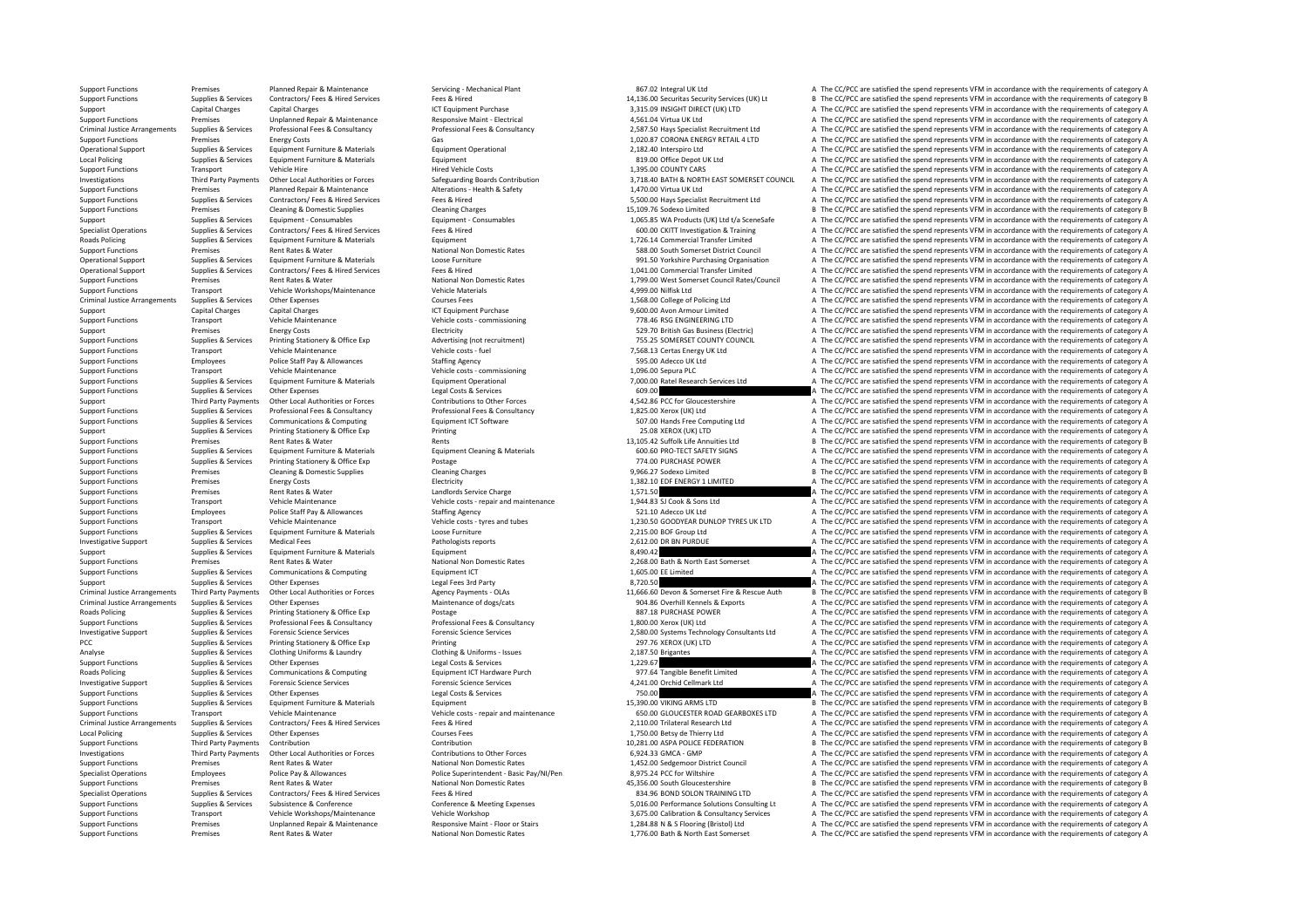Support Functions Premises Planned Repair & Maintenance Servicing - Mechanical Plant and a Servicing - Mechanical Plant a Servicing - Mechanical Plant and a Servicing - Mechanical Plant 867.02 Integral UK Ltd A The CC/PCC Support Experiments of the content of the state of the content of the content of the content of the state of the state of the state of the state of the state of the state of the state of the state of the state of the state Support Capital Charges Capital Charges Capital Charges ICT Equipment Purchase 3,315.09 INSIGHT DIRECT (UK) LTD A The CC/PCC are satisfied the spend represents VFM in accordance with the sequirements of category A Support Functions Premises Unplanned Repair & Maintenance Responsive Maint - Electrical A The CLICALT A The CC/PCC are satisfied the spend represents VFM in accordance with the requirements of category A Criminal Justice A 2,587.50 Hays Specialist Recruitment Ltd A The CC/PCC are satisfied the spend represents VFM in accordance with the requirements of category A (1020.87 CORONA ENERGY RETAIL 4 LTD A The CC/PCC are satisfied the spend repres Support Functions Premises Energy Costs Gas Gas Gas Gas CoRONA ENGY RETAIL 4 LTD A The CC/PCC are satisfied the spend represents VFM in accordance with the requirements of category A Corona Controller and the requirements Operational Support Supplies & Services Equipment Furniture & Materials Equipment Operational Equipment Operational 2,182.40 Interspiro Ltd A The CC/PCC are satisfied the spend represents VFM in accordance with the require Local Policing Supplies Associates A The CC/PCC are satisfied the spend represents VFM in accordance with the requirements of category A The CC/PCC are satisfied the spend represents VFM in accordance with the requirements Support Transport Vehicle Hire Vehicle Hire Hired Vehicle Costs 1,395.00 COUNTY CARS A The CC/PCC are satisfied the spend represents VFM in accordance with the requirements of category A The Support Transport Vehicle Hire 1.72000 Exercises The COPCC are assisted the spend percents VFM in accordance with the requirements of category A Third Party Payments of category A Seference Safeguarding Boards Contribution 2001 2.718.40 BATH & NORTH EAS Support Functions Premiers Premiers Planned Repair & Maintenance Alterations Leading Leading and Maintenance A The CC/PCC are satisfied the spend represents VFM in accordance with the requirements of category A The CC/PCC Support Functions Supplies & Services Contractors/ Fees & Hired Services Fees & Hired Fees & Hired Press Hired Fees & Hired Fees & Hired Fees & Hired Fees & Hired Fees & Hired Fees & Hired Fees & Hired Fees & Hired Fees Mu Examples Cleaning & Domestic Supplies Cleaning Charges Cleaning Charges Cleaning Charges Cleaning Charges 15,109.76 Sodexo Limited B The CC/PCC are satisfied the spend represents VFM in accordance with the requirements of Support Supporters Equipment – Consumables Equipment – Consumables Equipment – Consumables 1,065.85 WA Products (UK) Ltd t/a SceneSafe A The CC/PCC are satisfied the spend represents VFM in accordance with the requirements Specialist Operations Supplies & Services Contractors/Fees & Hired Services Fees & Hired Fees & Hired Fees & Hired Fees & Hired Fees & Hired Fees & Hired Fees & Hired Fees & Hired Fees & Hired Fees & Hired Fees and Supplie Roads Policing Supplies & Services Equipment Furniture & Materials Equipment Furniture and A The CC/PCC are satisfied the spend represents VFM in accordance with the requirements of category A Support Functions Premises Rent Rates & Water National Non Domestic Rates National Non Domestic Rates and a spend result of the CC/PCC are satisfied the spend represents VFM in accordance with the requirements of category Operational Support Supplies & Services Equipment Furniture & Materials Loose Furniture Loose Furniture and the CONCENTING CONCENTING CONCENTING Operation A The CC/PCC are satisfied the spend represents VFM in accordance w Supplies & Services Contractors/Fees & Hired Services Fees & Hired Fees & Hired Fees & Hired Fees & Hired Fees & Hired Fees & Hired Mational Non Domestic Rates 1999 and 1041.00 Commercial Transfer Limited A The CC/PCC are Support Functions Premises Rent Rates & Water National Non Domestic Rates 1,799.00 West Somerset Council Rates/Council A The CC/PCC are satisfied the spend represents VFM in accordance with the requirements of category A<br>S Support Transport Vehicle Workshops/Maintenance Vehicle Materials 4,999.00 Nilfisk Ltd A The CC/PCC are satisfied the spend represents VFM in accordance with the requirements of category A Criminal Justice Arrangements Supplies & Services Other Expenses Courses Fees Courses Fees 1,568.00 College of Policing Ltd A The CC/PCC are satisfied the spend represents VFM in accordance with the requirements of categor Support Capital Charges Capital Charges Capital Charges A Computed ICT Equipment Purchase 9,600.00 Avon Armour Limited A The CC/PCC are satisfied the spend represents VFM in accordance with the requirements of category A T Support Functions Transport Vehicle Maintenance Vehicle costs commissioning Vehicle costs in Commissioning 778.46 RSG ENGINEERING LTD A The CC/PCC are satisfied the spend represents VFM in accordance with the requirements Support Premises Energy Costs Electricity 529.70 British Gas Business (Electric) <sup>A</sup> The CC/PCC are satisfied the spend represents VFM in accordance with the requirements of category A Support Functions Supplies & Services Printing Stationery & Office Exp Advertising (not recruitment) 755.25 SOMERSET COUNTY COUNCIL A The CC/PCC are satisfied the spend represents VFM in accordance with the requirements of Support Transport Vehicle Maintenance Vehicle Costs fuel Vehicle costs fuel 7,568.13 Certas Energy UK Ltd A The CC/PCC are satisfied the spend represents VFM in accordance with the requirements of category A The CC/PCC are Police Staff Pay & Allowances Staffing Agency Staffing Agency Support Functions States are apported to the States of the Spend Research A The CC/PCC are satisfied the spend represents VFM in accordance with the requirement Support Transport Vehicle Maintenance Vehicle Maintenance Vehicle Costs **Consumissioning** 1,096.00 Sepura PLC A The CC/PCC are satisfied the spend represents VFM in accordance with the requirements of category A The CC/PCC Support Functions Supplies & Services Equipment Furniture & Materials Materials Equipment Operational Equipment Operational 7,000.00 Ratel Research Services Ltd A The CC/PCC are satisfied the spend represents VFM in accord Supplies & Services Other Expenses Corrections of the Expenses Contributions to Chef Corrections Contributions to Other Forces and The CC/PCC are satisfied the spend represents VFM in accordance with the requirements of ca ontributions to the Forces of the Contributions of the Forces of the CONCO are satisfied the spend represents VFM in accordance with the requirements of category A The CONCO are satisfied the spend represents VFM in accord Support Functions Supplies & Services Professional Fees & Consultancy Professional Fees & Consultancy Professional Fees & Consultancy 1,825.00 Xerox (UK) Ltd Manus A The CC/PCC are satisfied the spend represents VFM in acc Support Functions Supplies & Services Communications & Computing Equipment ICT Software Equipment ICT Software 507.00 Hands Free Computing Ltd A The CC/PCC are satisfied the spend represents VFM in accordance with the requ Support Support Support Support Support Support Support Support Support Support Support Support Support Support<br>Support Functions and Democration of the Support Support Premises and the spend represents VFM in accordance w Premises Rent Rates & Water Rents Rents Rents Rents Rents Rents Rents Rents Rents Rents Rents Rents Rents Rents Rents Rents Rents Rents Rents Rents Rents Rents Rents Rents Rents Rents Rents Rents Rents Rents Rents Rents Re Suppliers & Services For Funder Research Funder Property Controllers and Formulation Channel Channel Channel A Materials For CONSIDER CHANNEL A The CC/PCC are satisfied the spend represents VFM in accordance with the requi Support Functions Supplies & Services Printing Stationery & Office Exp Postage Protage Postage 774.00 PURCHASE POWER A The CC/PCC are satisfied the spend represents VFM in accordance with the requirements of category A Cle Premises Cleaning & Domestic Supplies Cleaning Charges Cleaning Charges Support Cleaning Charges 9,966.27 Sodexo Limited B The CC/PCC are satisfied the spend represents VFM in accordance with the requirements of category B Support Functions Premises Energy Costs Premises Energy Costs Electricity Electricity Electricity Electricity 1,382.10 EDF ENERGY 1 LIMITED A The CC/PCC are satisfied the spend represents VFM in accordance with the require Support Functions Premises Premises Rent Rates & Water Landlord Service Charge Landlords Service Charge 1,571.50 A The CC/PCC are satisfied the spend represents VFM in accordance with the requirements of category A The CO/ A The CC/PCC are satisfied the spend represents VFM in accordance with the requirements of category A Support Functions Employees Police Staff Pay & Allowances Staffing Agency Satisfing Agency Staffing Agency Staffing Agency Staffing Agency Staffing Agency Staffing Agency Staffing Agency Stategory A The CC/PCC are satisfie Support Functions Transport Vehicle Maintenance Vehicle costs • Vehicle costs - tyres and tubes 1,230.50 GOODYEAR DUNLOP TYRES UK LTD A The CC/PCC are satisfied the spend represents VFM in accordance with the requirements Support Functions Support Functions Support Functions A The CC/PCC are satisfied the spend represents VFM in accordance with the requirements of category A The CC/PCC are satisfied the spend represents VFM in accordance wi Investigative Support Support Support Support Supportes Medical Fees Medical Fees Pathologists reports 2,612.00 DR BN PURDUE A The CC/PCC are satisfied the spend represents VFM in accordance with the requirements of catego Support Support Support Support Support Support Support Support Support Support Support Support Support Support Support Support Support Support Support Support Support Support Support Support Support Support Support Suppor Premises Rent Rates & Water Mational Non Domestic Rates 2,268.00 Bath & North East Somerset A The CC/PCC are satisfied the spend represents VFM in accordance with the requirements of category A Support Functions Supplies & Services Communications & Computing equipment ICT Equipment ICT examples and the CONCE Examples of the CC/PCC are satisfied the spend represents VFM in accordance with the requirements of categ Support Support Supplies & Services Other Expenses Legal Fees 3rd Party Party Regal Fees 3rd Party Party Regal Fees 3rd Party 8,720.50 A The CC/PCC are satisfied the spend represents VFM in accordance with the requirements Third Party Payments of the COVEC are assisted the spend represents VFM in accordance with the requirements of category B Criminal Justice Arrangements Supplies & Services Other Expenses Other Expenses Maintenance of dogs/cats Maintenance of dogs/cats and the service of the COPCC are satisfied the spend represents VFM in accordance with the r Roads Policing Supplies & Services Printing Stationery & Office Exp Postage Professional Fees & Consultancy Postage 887.18 PURCHASE POWER A The CC/PCC are satisfied the spend represents VFM in accordance with the requireme Supplies & Services Professional Fees & Consultancy Professional Fees & Consultancy Professional Fees & Consultancy<br>
3.580.00 Services Applies Are and Are CO/PCC are astisfied the spend represents VFM in accordance with th investigative Sumprint Contribution of the Sumprint of Sumprint Sumprint Sumprint Sumprint Sumprint Sumprint Sumprint Sumprint Sumprint Sumprint Sumprint Sumprint Sumprint Sumprint Sumprint Sumprint Sumprint Sumprint Sumpr PCC Supplies & Services Printing Stationery & Office Exp Printing Printing Printing 297.76 XEROX (UK) LTD A The CC/PCC are satisfied the spend represents VFM in accordance with the requirements of category A Analyse Supplies Analyse Supplies & Services Clothing Uniforms & Laundry Clothing & Uniforms – Issues 2,187.50 Brigantes 2,187.50 Brigantes A The CC/PCC are satisfied the spend represents VFM in accordance with the require Support Functions Supplies & Services Other Expenses Legal Costs & Services Legal Costs & Services Legal Costs & Services Legal Costs & Services Legal Costs & Services Category A The CC/PCC are satisfied the spend represen PORT Supplies Benefit Limited  $\overline{A}$  The CC/PCC are satisfied the spend represents VFM in accordance with the requirements of category A  $\overline{A}$  and  $\overline{A}$  of  $\overline{A}$  are  $\overline{A}$  of  $\overline{A}$  are satisfied the spend Investigative Support Supplies & Services Forensic Science Services Forensic Science Services Forensic Science Services Forensic Science Services and The CC/PCC are satisfied the spend represents VFM in accordance with the Support Functions Supplies & Services Other Expenses Legal Costs & Services Legal Costs & Services Legal Costs & Services 2002 A The CC/PCC are satisfied the spend represents VFM in accordance with the requirements of cate  $S<sub>1</sub>390.00$  VIKING ARMS LTD B The CC/PCC are satisfied the spend represents VFM in accordance with the requirements of category B  $\Delta$  The CC/PCC are satisfied the spend represents VFM in accordance with the requirem Support Eunchmonter Transport Menicle Maintenance Menicle Cost Penicle Costs-repair and maintenance Menicle Cost COLOGINUCESTER ROAD GEARBOXES LTD A The CC/PCC are satisfied the spend represents VFM in accordance with the Criminal Justice Arrangements Supplies & Services Contractors/ Fees & Hired Supplies Contractors/ Fees & Hired<br>
1.750.00 Betsy de Thierry Ltd Arrangements of care and the cryptocare and the cryptocare and the cryptocare sa Local Policing Supplies A Services Other Expenses Courses Fees Courses Fees 1,750.00 Betsy de Thierry Ltd A The CC/PCC are satisfied the spend represents VFM in accordance with the requirements of category A Thierry Ltd A Support Functions Third Party Payments Contribution Contribution Contribution Contribution Contribution Contribution Contribution Contributions to Contributions and the category B a me CC/PCC are satisfied the spend repres Investigations Third Party Payments Other Local Authorities or Forces Contributions to Other Forces Contributions to Other Forces 6,924.33 GMCA – GMP A The CC/PCC are satisfied the spend represents VFM in accordance with t Support Functions Premises Rent Rates & Water National Non Domestic Rates 1,452.00 Sedgemoor District Council A The CC/PCC are satisfied the spend represents VFM in accordance with the requirements of category A Specialist Operations Employees Police Pay & Allowances Police Superintendent - Basic Pay/NI/Pen 83,975.24 PCC for Willtshire Specialist Operations A The CC/PCC are satisfied the spend represents VFM in accordance with the Support Functions Premises Rent Rates & Water National Non Domestic Rates 45,356.00 South Gloucestershire B The CC/PCC are satisfied the spend represents VFM in accordance with the requirements of category B Specialist Operations Supplies & Services Contractors/ Fees & Hired Services Fees & Hired Services Fees & Hired Services Fees & Hired Revices Fees & Hired Revices Fees & Hired Services Fees & Hired 834.96 BOND SOLON TRAINI Substance & Conference Conference & Meeting Expenses Conference & Meeting Expenses 5,016.00 Performance Solutions Consulting Lt A The CC/PCC are satisfied the spend represents VFM in accordance with the requirements of cat Support Transport Vehicle Workshops/Maintenance Vehicle Workshop Vehicle Workshop 3,675.00 Calibration & Consultancy Services A The CC/PCC are satisfied the spend represents VFM in accordance with the requirements of categ Sunnort Eunctions Premies Premies Innlanned Renair & Maintenance Responsive Maint - Floor or Stairs Responsive Maint - Floor or Stairs 1984 88 N & S Flooring (Ristabl) Itd & The CC/PCC are satisfied the spend represents VF Support Functions Premises Rent Rates & Water National Non Domestic Rates 1,776.00 Bath & North East Somerset A The CC/PCC are satisfied the spend represents VFM in accordance with the requirements of category A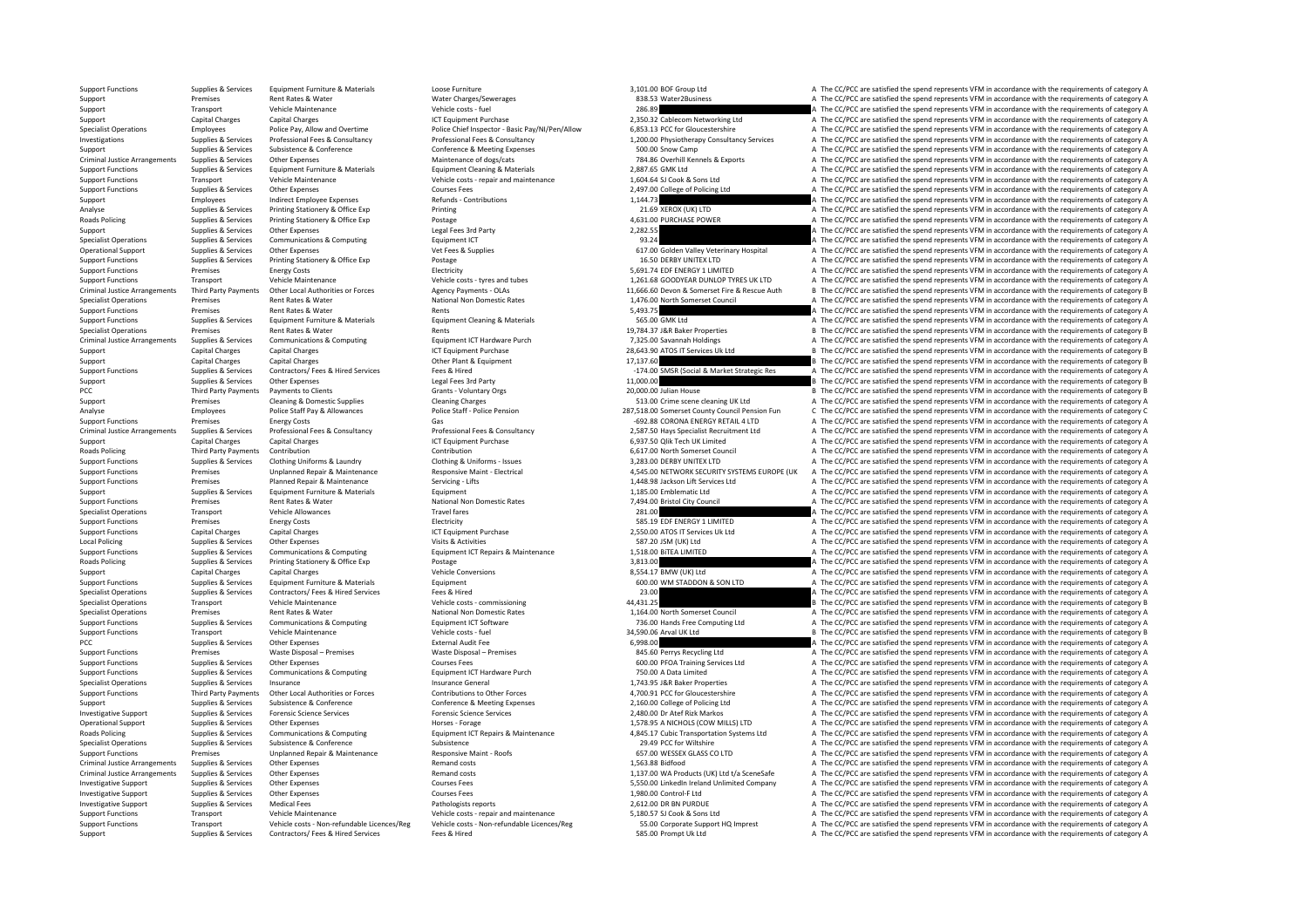Support Functions Supplies & Services Equipment Furniture & Materials Loose Furniture and Experiment Support Functions and the CC/PCC are satisfied the spend represents VFM in accordance with the requirements of category A Support Premises Supering Rent Rates & Water Mater Charges Water Charges/Sewerages and the Supering and the Supering a The CC/PCC are satisfied the spend represents VFM in accordance with the requirements of category A The Support Transport Vehicle Maintenance Vehicle Costs Fuel 286.89 A The CC/PCC are satisfied the spend represents VFM in accordance with the requirements of category A The CC/PCC are satisfied the spend represents VFM in acc Support Capital Charges Capital Charges Capital Charges ICT Equipment Purchase ICT Equipment Purchase 2,350.32 Cablecom Networking Ltd A The CC/PCC are satisfied the spend represents VFM in accordance with the requirements Employees Police Pay, Allow and Overtime Police Chief Inspector - Basic Pay/NI/Pen/Allow 6,853.13 PCC for Gloucestershire A The CC/PCC are satisfied the spend represents VFM in accordance with the requirements of category The CC/PCC are satisfied the spend represents VFM in accordance with the requirements of category A Supplies & Services Professional Fees & Consultancy Professional Fees & Consultancy (Consultancy 1,200.00 Physiotherapy Co Support Support Support Support Support Subsistence Subsistence Conference Conference Conference & Meeting Expenses 500.00 Snow Camp A The CC/PCC are satisfied the spend represents VFM in accordance with the requirements o Other Expenses<br>
Maintenance of dogs/cats<br>
Foulument Cleaning & Materials Materials (Patallace of dogs/cats and the control of the Security of the COPC are satisfied the spend represents VFM in accordance with the requireme Support Functions Supplies & Services Equipment Furniture & Materials Equipment Cleaning & Materials 2,887.65 GMK Ltd A The CC/PCC are satisfied the spend represents VFM in accordance with the requirements of category A Th Support Functions Transport Vehicle Maintenance Vehicle Costs – repair and maintenance Vehicle costs – repair and maintenance 1,604.64 SJ Cook & Sons Ltd A The CC/PCC are satisfied the spend represents VFM in accordance wi Support Functions Supplies & Services Other Expenses Courses Fees 2,497.00 College of Policing Ltd A The CC/PCC are satisfied the spend represents VEM in accordance with the souvisments of category A Support Employees Indirect Employee Expenses Refunds Contributions Refunds Contributions Refunds Contributions 1,144.73 A The CC/PCC are satisfied the spend represents VFM in accordance with the requirements of category A Analyse Supplies & Services Printing Stationery & Office Exp Printing Printing Printing Printing 21.69 XEROX (UK) LTD A The CC/PCC are satisfied the spend represents VFM in accordance with the requirements of category A Th A The CC/PCC are satisfied the spend represents VFM in accordance with the requirements of category A Support Supporters Supporters Other Expenses Legal Fees 3rd Party 2,282.55 2,282.55 A The CC/PCC are satisfied the spend represents VFM in accordance with the requirements of category A Specialist Operations Supplies & Services Communications & Computing Equipment ICT equipment ICT 93.24 A The CC/PCC are satisfied the spend represents VFM in accordance with the requirements of category A Operational Support Supplies & Services Other Expenses Vet Fees & Supplies Vet Fees & Supplies 617.00 Golden Valley Veterinary Hospital A The CC/PCC are satisfied the spend represents VFM in accordance with the requirement Support Functions Supplies & Services Printing Stationery & Office Exp Postage Printing Stationery & Office Exp Postage Postage Postage 16.50 DERBY UNITEX 16.50 DERBY UNITEX 1TD A The CC/PCC are satisfied the spend represe of The CC/PCC are satisfied the spend represents VFM in accordance with the requirements of category A The COMENTED A The CC/PCC are satisfied the spend represents VFM in accordance with the requirements of category A The Support Transport Vehicle Maintenance Vehicle Costs • tyres and tubes 1,261.68 GOODYEAR DUNLOP TYRES UK LTD A The CC/PCC are satisfied the spend represents VFM in accordance with the requirements of category A Criminal Jus Criminal Justice Arrangements Third Party Payments Other Local Authorities or Forces Agency Payments OLAs 11,666.60 Devon & Somerset Fire & Rescue Auth B The CC/PCC are satisfied the spend represents VFM in accordance with Specialist Operations Premises Rent Rates & Water National Non Domestic Rates 1,476.00 North Somerset Council A The CC/PCC are satisfied the spend represents VFM in accordance with the requirements of category A Support Functions Premises Premises Rent Rates & Water Rents Rents Rents Rents Rents Rents Rents Rents Rents Rents Rents Rents Rents Rents Rents and the Support Functions Premises A The CC/PCC are satisfied the spend repre Support Functions Supplies & Services Equipment Furniture & Materials Equipment Cleaning & Materials Equipment Cleaning & Materials 565.00 GMK Ltd A The CC/PCC are satisfied the spend represents VFM in accordance with the Specialist Operations Premises Access Rent Rates Assembly 2008 Apple CC/PCC are satisfied the spend represents VFM in accordance with the requirements of category B and the spend represents VFM in accordance with the requi Criminal Justice Arrangements Supplies & Services Communications & Computing Computing Equipment Purchase Equipment Purchase Purch 7,325.00 Savannah Holdings 7,325.00 Savannah Holdings A The CC/PCC are satisfied the spend Support Capital Charges Capital Charges Capital Charges ICT Equipment Purchase 28,643.90 ATOS IT Services Uk Ltd B The CC/PCC are satisfied the spend represents VFM in accordance with the requirements of category B The CC/ Support Capital Charges Capital Charges Capital Charges Charges Charges Capital Charges Other Plant Charges Other Plant Are requirements of category B The CC/PCC are satisfied the spend represents VFM in accordance with th Curriculus Contractor (September 2007) For the Contractor (September 2008) For the Contractor (September 2008) For the Contractor of the Contractor (September 2008) For the Contractor (September 2008) For the Contractor of Support Supplies & Services Other Expenses Legal Fees 3rd Party Party Care and the Support Legal Fees 3rd Party Party 11,000.00 B The CC/PCC are satisfied the spend represents VFM in accordance with the requirements of cat Payments to Clients Cramic Voluntary Orgs 20,000.00 Julian House B The CC/PCC are satisfied the spend represents VFM in accordance with the requirements of category B The CC/PCC are satisfied the spend represents VFM in ac Support Premises Cleaning & Domestic Supplies Cleaning Charges Cleaning Charges Cleaning Charges Cleaning Charges Cleaning Charges Cleaning Charges Cleaning Charges Cleaning Charges S13.00 Crime scene cleaning UK Ltd A The Employees Police Staff Pay & Allowances Police Staff - Police Staff - Police Pension Police Staff - Police Staff - Police Pension Police Pension 287,518.00 Somerset County Council Pension Fun C The CC/PCC are satisfied the Functions Energy Costs **Energy Costs** Gas **Gas Gas CRONA ENERGY RETAIL 4 LTD** A The CC/PCC are satisfied the spend represents VFM in accordance with the requirements of category A Criminal Justice Arrangements Supplies & Services Professional Fees & Consultancy Consultancy Professional Fees & Consultancy Professional Fees & Consultancy Professional Fees & Consultancy Professional Fees & Consultancy Support Capital Charges Capital Charges ICT Equipment Purchase ICT Equipment Purchase 6,937.50 Qlik Tech UK Limited A The CC/PCC are satisfied the spend represents VFM in accordance with the requirements of category A Thir Third Party Payments Contribution Contribution Contribution Contribution Contribution Contribution Contribution Contribution Contribution Contribution Contribution Contribution Contribution Contribution Contribution Contri Support Functions Supplies & Services Clothing Uniforms & Laundry Clothing & Uniforms – Issues Clothing & Uniforms – Support Functions and the CC/PCC are satisfied the spend represents VFM in accordance with the requiremen Premises Unplanned Repair & Maintenance Maintenance Responsive Maint - Electrical and the CASON DETWORK SECURTY SYSTEMS EUROPE (UK A The CC/PCC are satisfied the spend represents VFM in accordance with the requirements of Support Functions Premises Planned Repair & Maintenance Servicing - Lifts Servicing - Lifts 1,448.98 Jackson Lift Services Ltd A The CC/PCC are satisfied the spend represents VFM in accordance with the requirements of cate Support Support Supplies & Services Equipment Furniture & Materials Equipment Equipment Equipment 1,185.00 Emblematic Ltd A The CC/PCC are satisfied the spend represents VFM in accordance with the requirements of category Premises Rent Rates & Water National Non Domestic Rates 7,494.00 Bristol City Council A The CC/PCC are satisfied the spend represents VFM in accordance with the requirements of category A Specialist Operations Transport Vehicle Allowances Medicalist Operations Vehicle Allowances Vehicle Allowances Travel fares Travel fares Travel fares 281.00 a Specialist Operations Travel in accordance with the requirement Support Functions Premises Energy Costs Energy Costs Electricity Electricity Electricity Electricity Functions<br>
Support Functions Canital Charges Canital Charges Canital Charges Canital Charges In the controller and Electr SUPUT CT Equipment Purchase Equipment Charges Capital Charges Capital Charges 2,550.00 ATOS IT Services Uk Ltd A The CC/PCC are satisfied the spend represents VFM in accordance with the requirements of category A The CC/PC Local Policing Supplies Services Other Expenses Visits Activities Visits & Activities Visits & Activities Visits & Activities Services Visits & Activities Visits & Activities Visits & Activities Services Communications & C Support Functions Supplies & Services Communications & Computing Equipment ICT Repairs & Maintenance 1,518.00 BITEA LIMITED A The CC/PCC are satisfied the spend represents VFM in accordance with the requirements of categor Postage 3,813.00 C/PCC are satisfied the spend represents VFM in accordance with the requirements of category A Support Capital Charges Capital Charges Capital Charges Vehicle Conversions Vehicle Conversions 8,554.17 BMW (UK) Ltd A The CC/PCC are satisfied the spend represents VFM in accordance with the requirements of category A Th Support Functions Supplies & Services Equipment Furniture & Materials Equipment Equipment Equipment Equipment Equipment Equipment Equipment and the CC/PCC are satisfied the spend represents VFM in accordance with the requi The CC/PCC are satisfied the spend represents VFM in accordance with the requirements of category A Specialist Operations Transport Vehicle Maintenance Vehicle Costs – commissioning Vehicle Costs – commissioning 44,431.25 B The CC/PCC are satisfied the spend represents VFM in accordance with the requirements of category Premises Rent Rates & Water Mational Non Domestic Rates 1,164.00 North Somerset Council A The CC/PCC are satisfied the spend represents VFM in accordance with the requirements of category A Support Functions Supplies & Services Communications & Computing Equipment ICT Software Equipment ICT Software 736.00 Hands Free Computing Ltd A The CC/PCC are satisfied the spend represents VFM in accordance with the requ Support Functions Transport Vehicle Maintenance Vehicle Maintenance Vehicle Costs **Costs and Support Arry 24,590.06 Arval UK Ltd** B The CC/PCC are satisfied the spend represents VFM in accordance with the requirements of c PCC Supplies & Services Other Expenses External Audit Fee 6,998.00 A The CC/PCC are satisfied the spend represents VFM in accordance with the requirements of category A Support Functions Premises Waste Disposal – Premises Waste Disposal – Premises Waste Disposal – Premises Waste Disposal – Premises 845.60 Perrys Recycling Ltd A The CC/PCC are satisfied the spend represents VFM in accordan Support Functions Supplies & Services Other Expenses Courses Courses Courses Fees Courses Courses Courses Courses Courses Courses Courses Courses Courses Courses Courses Courses Courses Courses Courses Courses Courses Cour A The CC/PCC are satisfied the spend represents VFM in accordance with the requirements of category A Specialist Operations Supplies & Services Insurance Insurance Services Insurance General Insurance General 1,743.95 J&R Baker Properties A The CC/PCC are satisfied the spend represents VFM in accordance with the requiremen Support Functions Third Party Payments Other Local Authorities or Forces Contributions to Other Forces Contributions to Cheffence & Meeting Expenses 4,700.91 PCC for Gloucestershire a The CC/PCC are satisfied the spend rep A The CC/PCC are satisfied the spend represents VFM in accordance with the requirements of category A Investigative Support Supplies & Services Forensic Science Services Forensic Science Services Porensic Science Services Forensic Science Services Forensic Science Services Forencis Corensic Science Services 2,578.95 A NCHO Operational Support Supplies & Services Other Expenses Morses Expenses Horses Forage Horses Forage Horses Forage Horses Forage 1,578.95 A NICHOLS (COW MILLS) LTD A The CC/PCC are satisfied the spend represents VFM in accor Communications & Computing Equipment ICT Repairs & Maintenance (1990) and the CONCERT ASSALT Cubic Transportation Systems Ltd A The CC/PCC are satisfied the spend represents VFM in accordance with the requirements of categ Specialist Operations Subsistence Subsistence Subsistence Subsistence Subsistence Subsistence Subsistence 29.49 PCC for Wiltshire A The CC/PCC are satisfied the spend represents VFM in accordance with the requirements of c Support Functions Premises Unplanned Repair & Maintenance Responsive Maint - Roofs 657.00 WESSEX GLASS CO LTD A The CC/PCC are satisfied the spend represents VFM in accordance with the requirements of category A Criminal Justice Arrangements Supplies & Services Other Expenses Memand costs Remand costs Remand costs 1,563.88 Bidfood A The CC/PCC are satisfied the spend represents VFM in accordance with the requirements of category A Criminal Justice Arrangements Supplies & Services Other Expenses Remand costs Remand costs 1,137.00 WA Products (UK) Ltd t/a SceneSafe A The CC/PCC are satisfied the spend represents VFM in accordance with the requirements Investigative Support Support Support Supporters Other Expenses Courses Fees Courses Fees 5,550.00 LinkedIn Ireland Unlimited Company A The CC/PCC are satisfied the spend represents VFM in accordance with the requirements Investigative Support Support Support Support Supportes Other Expenses Courses Courses Fees Courses Courses Fees 1,980.00 Control‐F Ltd A The CC/PCC are satisfied the spend represents VFM in accordance with the requirement Investigative Support Support Support Support Support Medical Fees Pathologists reports Pathologists reports 2,612.00 DR BN PURDUE A The CC/PCC are satisfied the spend represents VFM in accordance with the requirements of Support Functions Transport Vehicle Maintenance Vehicle costs ‐ repair and maintenance S,180.57 SJ Cook & Sons Ltd A The CC/PCC are satisfied the spend represents VFM in accordance with the requirements of category A Support Eunctions Transport Vehicle costs - Non-refundable Licences/Reg Vehicle costs - Non-refundable Licences/Reg Vehicle costs - Non-refundable Licences/Reg 55.00 Corporate Support HQ Imprest A The CC/PCC are satisfied Support Supplies & Services Contractors/ Fees & Hired Services Fees & Hired Fees & Hired The Services Fees & Hired 585.00 Prompt Uk Ltd A The CC/PCC are satisfied the spend represents VFM in accordance with the requirement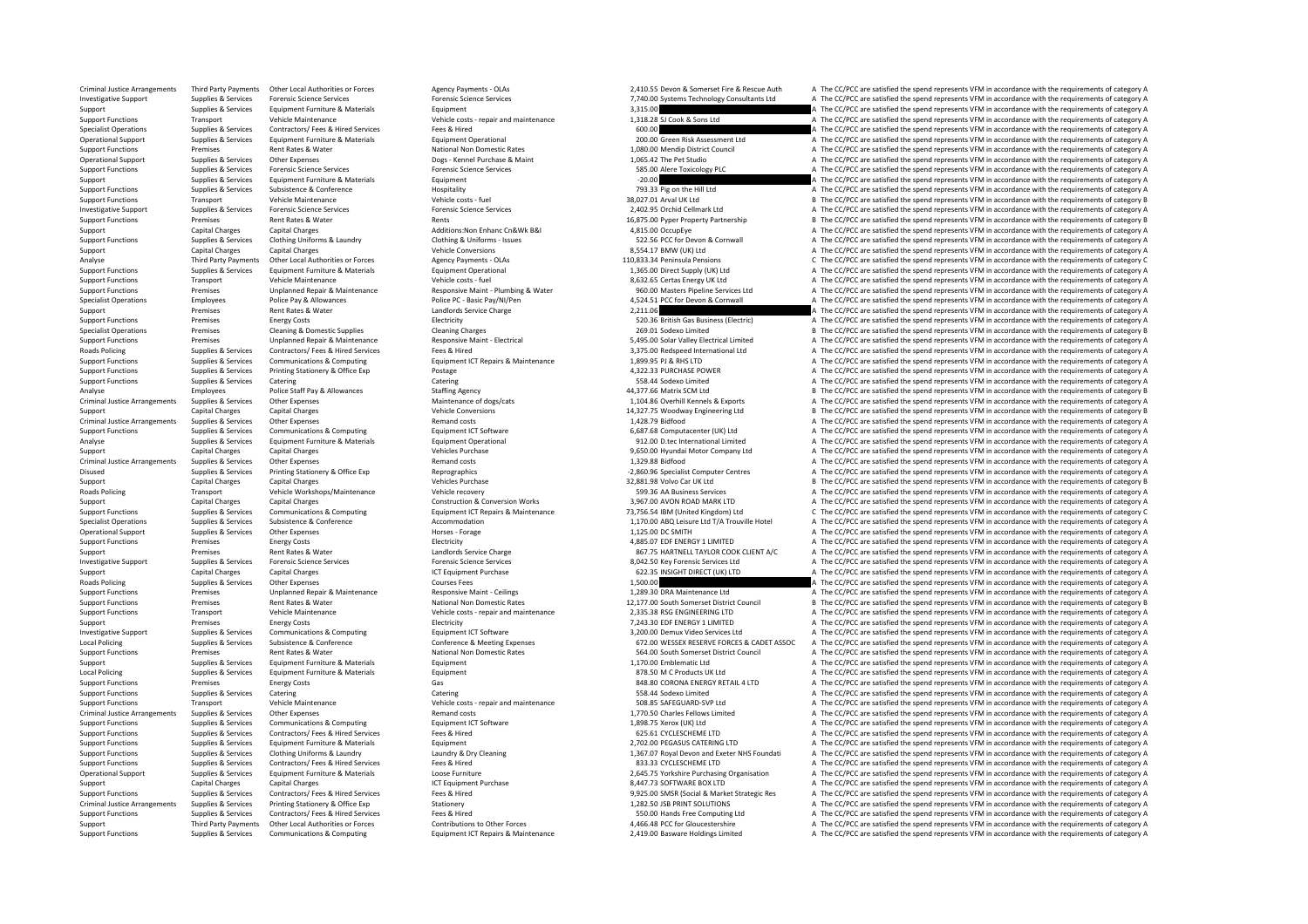Criminal Justice Arrangements Third Party Payments Other Local Authorities or Forces Agency Payments - OLAs Agency Payments - OLAs 2,410.55 Devon & Somerset Fire & Rescue Auth A The CC/PCC are satisfied the spend represent Investigative Support Supplies & Services Forensic Science Services Forensic Science Services Forensic Science Services Forensic Science Services Forensic Science Services 7,740.00 Systems Technology Consultants Ltd A The Support Support Support Support Support Support Support Support Support Support Support Support Support Support<br>Support Functions Support Support Support Support Support Support of the Service of the Support of the spend r Support Functions Transport Vehicle Maintenance Vehicle costs • repair and maintenance 1,318.28 SJ Cook & Sons Ltd A The CC/PCC are satisfied the spend represents VFM in accordance with the requirements of category A The C Specialist Operations Supplies & Services Contractors/ Fees & Hired Services Fees & Hired Services Fees & Hired Music Fees & Hired 600.00 Fees & Hired CONCO Contractors/ Fees & Hired Services Fees & Hired Services Fees & H A The CC/PCC are satisfied the spend represents VFM in accordance with the requirements of category A Support Functions Premises Rent Rates Rent Rates Rent Rates Rent Rates National Non Domestic Rates 1,080.00 Mendip District Council A The CC/PCC are satisfied the spend represents VFM in accordance with the requirements of Opes ‐ Kennel Purchase & Maint CC/PCC are satisfied the spend represents VFM in accordance with the requirements of category A The Pet Studio A The CC/PCC are satisfied the spend represents VFM in accordance with the requi Support Functions Supplies & Services Forensic Science Services Forensic Science Services Forensic Science Services Forensic Science Services Forensic Science Services Forensic Science Services Forensic Science Services Fo Support Support Support Support Equipment Equipment Equipment Equipment and the Services Equipment Support Contents and the CC/PCC are satisfied the spend represents VFM in accordance with the requirements of category A Th  $S_{\text{unplane}}$   $S_{\text{nonlocal}}$   $S_{\text{nonlocal}}$   $S_{\text{nonlocal}}$   $S_{\text{nonlocal}}$   $S_{\text{nonlocal}}$   $S_{\text{nonlocal}}$   $S_{\text{nonlocal}}$   $S_{\text{nonlocal}}$   $S_{\text{nonlocal}}$   $S_{\text{nonlocal}}$   $S_{\text{nonlocal}}$   $S_{\text{nonlocal}}$   $S_{\text{nonlocal}}$   $S_{\text{nonlocal}}$   $S_{\text{nonlocal}}$   $S_{\text{nonlocal}}$   $S_{\text{nonlocal}}$   $S_{\text{nonlocal}}$   $S_{\text{nonlocal}}$  Support Functions Transport Vehicle Maintenance Vehicle costs – fuel Vehicle costs – fuel are vehicle costs – fuel are are at the conductions and the spend represents VFM in accordance with the requirements of category B T Investigative Support Supplies & Services Forensic Science Services Forensic Science Services 2,402.95 Orchid Cellmark Ltd A The CC/PCC are satisfied the spend represents VFM in accordance with the requirements of category Support Property Partnership B The CC/PCC are satisfied the spend represents VFM in accordance with the requirements of category B Support Capital Charges Capital Charges Capital Charges Additions:Non Enhanc Cn&Wk B&I 4,815.00 OccupEye A The CC/PCC are satisfied the spend represents VFM in accordance with the requirements of category A The CC/PCC are Support Functions Support Functions Support Functions Support Functions Conting Uniforms Catalogy A Conting Uniforms Catalogy Clothing & Uniforms Conting Uniforms Conting Uniforms Conting Uniforms Conting Uniforms Conting Support Capital Charges Capital Charges Capital Charges Vehicle Conversions Vehicle Conversions 8,554.17 BMW (UK) Ltd A The CC/PCC are satisfied the spend represents VFM in accordance with the requirements of category A Th Analyse Third Party Payments Other Local Authorities or Forces Agency Payments - OLAs Agency Payments - OLAs 110,833.34 Peninsula Pensions C The CC/PCC are satisfied the spend represents VFM in accordance with the requirem Supplies & Services Equipment Furniture & Materials Equipment Operational Equipment Operational 1,365.00 Direct Supply (UK) Ltd A The CC/PCC are satisfied the spend represents VFM in accordance with the requirements of cat Support Transport Vehicle Maintenance Vehicle costs Fuel Vehicle costs fuel and the Support Support Vehicle Maintenance Vehicle costs Fuel 8,632.65 Certas Energy UK Ltd A The CC/PCC are satisfied the spend represents VFM i Support Functions Premises Unplanned Repair & Maintenance Responsive Maint - Plumbing & Water and the Support Puncil of Design of Allian Control of the COPCC are satisfied the spend represents VFM in accordance with the re Specialist Operations Employees Police Pay & Allowances Police PC – Basic Pay/NI/Pen 4,524.51 PCC for Devon & Cornwall A The CC/PCC are satisfied the spend represents VFM in accordance with the requirements of category A Support Premises Support Premises Rent Rates & Water and the candidate and the category and the category and the category and the compare and the category and the category and the spend represents VFM in accordance with th Support Functions Premises Energy Costs Energy Costs Energy Costs Electricity Electricity 520.36 British Gas Business (Electric) A The CC/PCC are satisfied the spend represents VFM in accordance with the requirements of ca B The CC/PCC are satisfied the spend represents VFM in accordance with the requirements of category B Example To the Unplanned Repair & Maintenance Maintenance Responsive Maint - Electrical Maintenance Responsive Maint - Electrical SAPS.00 Solar Valley Electrical Limited A The CC/PCC are satisfied the spend represents VFM Roads Policing Supplies & Services Contractors/ Fees & Hired Services Fees & Hired Services Fees & Hired 3,375.00 Redspeed International Ltd A The CC/PCC are satisfied the spend represents VFM in accordance with the requir Support Functions Support Functions Computing Equipment ICT Repairs & Maintenance 1,899.95 PJ & RHS LTD A The CC/PCC are satisfied the spend represents VFM in accordance with the requirements of category A The CC/PCC are s Support Functions Supplies & Services Printing Stationery & Office Exp Postage Printing Postage Postage Postage 4,322.33 PURCHASE POWER A The CC/PCC are satisfied the spend represents VFM in accordance with the requirement Support Functions Supplies & Services Catering Catering Catering Catering Catering Catering Catering Catering Catering Catering Support Function A The CC/PCC are satisfied the spend represents VFM in accordance with the re Analyse Employees Police Staff Pay & Allowances Staffing Agency Analyse and A 277.66 Matrix SCM Ltd B The CC/PCC are satisfied the spend represents VFM in accordance with the requirements of category B The CC/PCC are satis 1,104.86 Overhill Kennels & Exports<br>14,327.75 Woodway Engineering Ltd<br>14,327.75 Woodway Engineering Ltd<br>16 B The CC/PCC are satisfied the spend represents VFM in accordance with the requirements of category B Support Capital Charges Capital Charges Vehicle Conversions Vehicle Conversions 14,327.75 Woodway Engineering Ltd B The CC/PCC are satisfied the spend represents VFM in accordance with the requirements of category B Criminal Justice Arrangements Supplies & Services Other Expenses Material Supplies Criminal Justice Arrangements Supplies & Services Other Expenses Remand Costs Remand costs Remand Costs 1,428.79 Bidfood a SAS.68 Computate Support Functions Supplies & Services Communications & Computing Equipment ICT Software Equipment ICT Software 6,687.68 Computacenter (UK) Ltd A The CC/PCC are satisfied the spend represents VFM in accordance with the requ Analyse Supplies Services Equipment Furniture & Materials Equipment Operational 912.00 D.tec International Limited A The CC/PCC are satisfied the spend represents VFM in accordance with the requirements of category A Support Capital Charges Capital Charges Vehicles Purchase Vehicles Purchase 9,650.00 Hyundai Motor Company Ltd A The CC/PCC are satisfied the spend represents VFM in accordance with the requirements of category A Criminal Justice Arrangements Supplies & Services Other Expenses Media District Criminal Criminal Justice Arrangements Of Districte Criminal Justice Arrangements of category A The CC/PCC are satisfied the spend represents Supplies & Services Printing Stationery & Office Exp Reprographics experiments are a memory and the specialist Computer Centres A The CC/PCC are satisfied the spend represents VFM in accordance with the requirements of cat Support Capital Charges Capital Charges Capital Charges Capital Charges Vehicles Purchase Vehicles Purchase 32,881.98 Volvo Car UK Ltd B The CC/PCC are satisfied the spend represents VFM in accordance with the requirements Roads Policing Transport Vehicle Workshops/Maintenance Vehicle recovery 599.36 AA Business Services <sup>A</sup> The CC/PCC are satisfied the spend represents VFM in accordance with the requirements of category A Support Capital Charges Capital Charges Capital Charges Construction & Conversion Works 3,967.00 AVON ROAD MARK LTD A The CC/PCC are satisfied the spend represents VFM in accordance with the requirements of category A Supplies & Services Communications & Computing Equipment ICT Repairs & Maintenance 73,756.54 IBM (United Kingdom) Ltd C The CC/PCC are satisfied the spend represents VFM in accordance with the requirements of category C Specialist Operations Supplies & Services Subsistence Subsistence Subsistence Conference Accommodation Accommodation<br>
Accommodation Accommodation Accommodation and the conference and the conference and the conference and t 1,125.00 DC SMITH A The CC/PCC are satisfied the spend represents VFM in accordance with the requirements of category A<br>A The CC/PCC are satisfied the spend represents VFM in accordance with the requirements of category A Support Functions Premises Energy Costs Energy Costs Electricity Electricity Electricity Electricity Electricity and the spend of the spend represents VFM in accordance with the requirements of category A The COPCC are sat Support Premises Rent Rates & Water Landlord Service Charge Landlords Service Charge 867.75 HARTNELL TAYLOR COOK CLIENT A/C A The CC/PCC are satisfied the spend represents VFM in accordance with the requirements of categor A The CC/PCC are satisfied the spend represents VEM in accordance with the requirements of category A Support Capital Charges Capital Charges Capital Charges Support Purchase ICT Equipment Purchase 622.35 INSIGHT DIRECT (UK) LTD A The CC/PCC are satisfied the spend represents VFM in accordance with the requirements of cate Policing Term and The CC/PCC are satisfied the spend represents VFM in accordance with the requirements of category A The CC/PCC are satisfied the spend represents VFM in accordance with the requirements of category A The Support Functions Premises Unplanned Repair & Maintenance Responsive Maint ‐ Ceilings 1,289.30 DRA Maintenance Ltd A The CC/PCC are satisfied the spend represents VFM in accordance with the requirements of category A Support Functions Premises Rent Rates & Water National Non Domestic Rates National Non Domestic Rates 12,177.00 South Somerset District Council B The CC/PCC are satisfied the spend represents VFM in accordance with the req Support Functions Transport Vehicle Maintenance Vehicle costs – repair and maintenance 2,335.38 RSG ENGINEERING LTD A The CC/PCC are satisfied the spend represents VFM in accordance with the requirements of category A The Support Premises Energy Costs Energy Costs Energy Costs Electricity Electricity Electricity Function and the Support and the Support A The CC/PCC are satisfied the spend represents VFM in accordance with the requirements o Investigative Support Supplies & Services Communications & Computing Equipment ICT Software 3,200.00 Demux Video Services Ltd <sup>A</sup> The CC/PCC are satisfied the spend represents VFM in accordance with the requirements of category A Local Policing Supplies & Services Subsistence & Conference Conference Conference & Meeting Expenses Conference & Meeting Expenses 672.00 WESSEX RESERVE FORCES & CADET ASSOC A The CC/PCC are satisfied the spend represents Support Functions Premises Premises Rent Rates & Water National Non Domestic Rates National Non Domestic Rates<br>Support Support Support Support Support Premiers are equirements of category A The CC/PCC are satisfied the spe Support Supplies & Services Equipment Furniture & Materials Equipment Equipment Equipment 1,170.00 Emblematic Ltd A The CC/PCC are satisfied the spend represents VFM in accordance with the requirements of category A The CC Equipment Furniture Supplies Contained Supplies At the CC/PCC are satisfied the spend represents VFM in accordance with the requirements of category A<br>Sas so condata Engine Supplies A The CC/PCC are satisfied the spend rep Support Functions Premises Energy Costs Energy Costs Gas Gas Base Communications Communications Controller and the CONSTRIAL 4 LTD A The CC/PCC are satisfied the spend represents VFM in accordance with the requirements of Support Functions Supplies & Services Catering Catering Catering Catering Catering Catering Catering Catering Catering Catering Catering Catering Support Functions and Democratic Catering of the CONCC are satisfied the spe Support Functions Vehicle Costs repair and maintenance Support Transport Constructions and Maintenance Vehicle Costs - repair and maintenance 508.85 SAFEGUARD-SVP Ltd A The CC/PCC are satisfied the spend represents VFM in Criminal Justice Arrangements Supplies & Services Other Expenses Memand costs Permand costs 1,770.50 Charles Fellows Limited A The CC/PCC are satisfied the spend represents VFM in accordance with the requirements of catego Support Functions Supplies & Services Communications & Computing Equipment ICT Software Equipment ICT Software 1,898.75 Xerox (UK) Ltd A The CC/PCC are satisfied the spend represents VFM in accordance with the requirements Supplies & Services Contractors/ Fees & Hired Services Fees & Hired Services Fees & Hired Services Fees & Hired 625.61 CYCLESCHEME LTD A The CC/PCC are satisfied the spend represents VFM in accordance with the requirements Support Functions Supplies & Services Equipment Furniture & Materials Equipment Equipment 2,702.00 PEGASUS CATERING LTD A The CC/PCC are satisfied the spend represents VFM in accordance with the requirements of category A Support Functions Supplies & Services Clothing Uniforms & Laundry Materia Materia Laundry & Dry Cleaning Materia 1,367.07 Royal Devon and Exeter NHS Foundati A The CC/PCC are satisfied the spend represents VFM in accordanc Support Functions Supplies & Services Contractors/ Fees & Hired Services Fees & Hired Fees & Hired 833.33 CYCLESCHEME LTD A The CC/PCC are satisfied the spend represents VFM in accordance with the requirements of category Operational Support Supplies & Services Equipment Furniture & Materials Loose Furniture Content Content and the CONCES 20173 SOFT MATER (PCC) are satisfied the spend represents VFM in accordance with the requirements of ca Support Capital Charges Capital Charges Capital Charges ICT Equipment Purchase 8,447.73 SOFTWARE BOX LTD A The CC/PCC are satisfied the spend represents VFM in accordance with the requirements of category A Support Functions Supplies & Services Contractors/ Fees Alired Services Fees & Hired Fees & Hired Fees & Hired<br>Criminal Justice Arrangements Supplies & Services Printing Stationery Stationery Stationery Stationery Statione Criminal Justice Arrangements Supplies & Services Printing Stationery & Office Exp Stationery 1,282.50 JSB PRINT SOLUTIONS A The CC/PCC are satisfied the spend represents VFM in accordance with the requirements of category Support Functions Supplies & Services Contractors/ Fees & Hired Services Fees & Hired 550.00 Hands Free Computing Ltd A The CC/PCC are satisfied the spend represents VFM in accordance with the requirements of category A Third Party Payments Chher I oral Authorities or Forces Contributions to Chher Forces and the Superintery of the CONN of the CONN Case satisfied the spend represents VFM in accordance with the requirements of category A Supplies & Services Communications & Computing Equipment ICT Repairs & Maintenance 2,419.00 Basware Holdings Limited A The CC/PCC are satisfied the spend represents VFM in accordance with the requirements of category A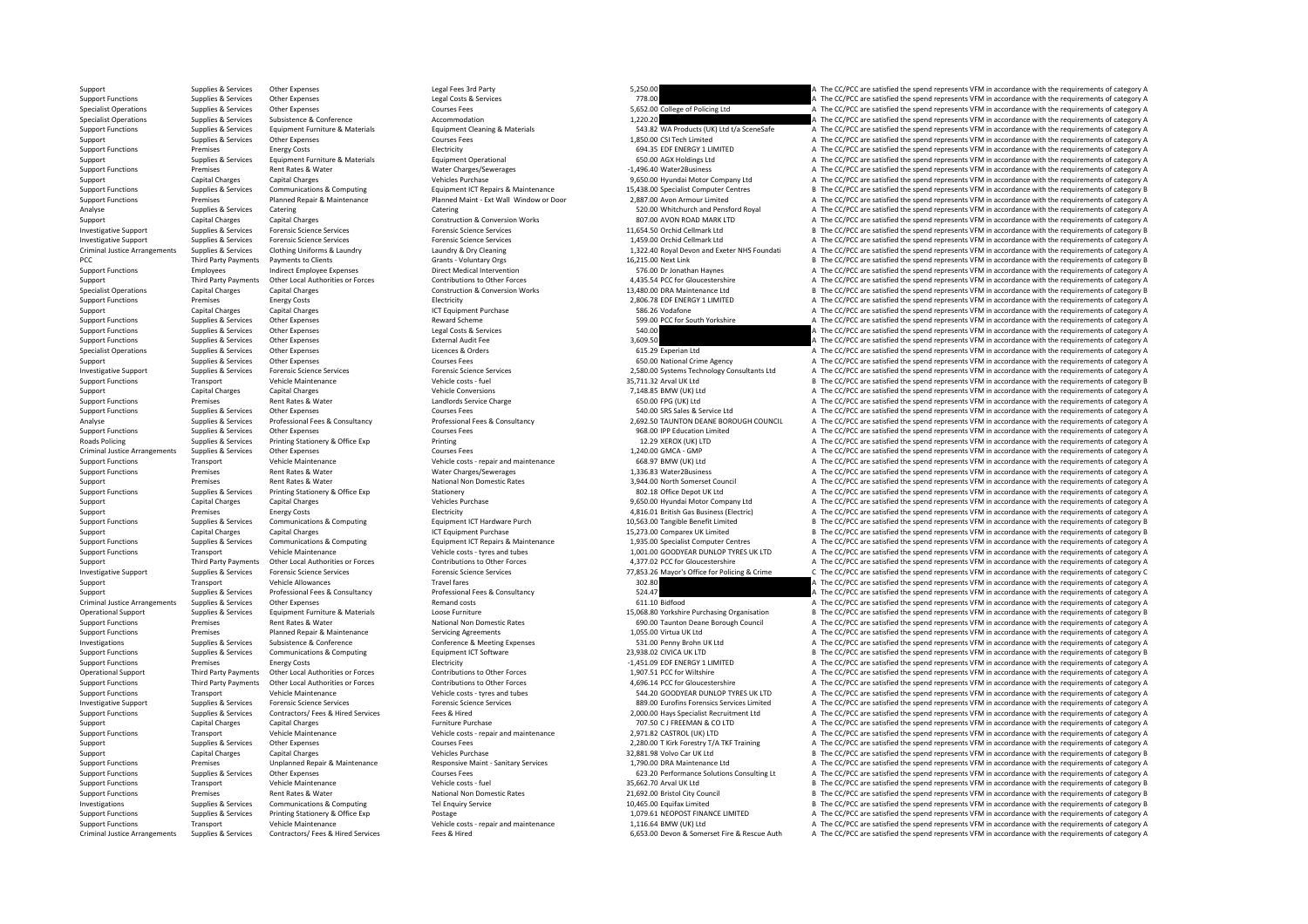Support Support Support Support Support Support Support Support Support Support Support Support Support Support<br>The CC/PCC are satisfied the spend represents VFM in accordance with the requirements of category A The CC/PCC Support Functions Supplies Services Other Expenses Legal Costs & Services 2012 A The CC/PCC are satisfied the spend represent VFM in accordance with the requirements of category A The CC/PCC are satisfied the spend represe Specialist Operations Supplies & Services Other Expenses Courses Courses Courses Courses Courses Courses Courses Courses Courses Courses Courses Courses Courses Courses Courses Courses Courses Courses Courses Courses Cours Specialist Operations Supplies & Services Subsistence & Conference Accommodation Accommodation Accommodation 1,220.20 A The CC/PCC are satisfied the spend represents VFM in accordance with the requirements of category A Th Supplies & Services Equipment Furniture & Materials Materials Equipment Cleaning & Materials Materials Equipment Cleaning & Materials Materials Supplies A The CC/PCC are satisfied the spend represents VFM in accordance wit Support Supplies & Services Other Expenses Courses Fees Courses Fees 1,850.00 CSI Tech Limited A The CC/PCC are satisfied the spend represents VFM in accordance with the requirements of category A Support Functions Premises Energy Costs Energy Costs Electricity Electricity Electricity Electricity Electricity and the serve and the spend represents of category and the spend represents VFM in accordance with the requir Support Support Support Support Support Support Support Contract Contract Contract Contract Contract Contract Contract A The CC/PCC are satisfied the spend represents VFM in accordance with the requirements of category A T Support Functions Premises Rent Rates & Water Water Water Charges/Sewerages -1,496.40 Water2Business -1,496.40 Water2Business A The CC/PCC are satisfied the spend represents VFM in accordance with the requirements of categ Support Capital Charges Capital Charges Capital Charges Vehicles Purchase 9,650.00 Hyundai Motor Company Ltd A The CC/PCC are satisfied the spend represents VFM in accordance with the requirements of category A The Company Cupper Limited Barrier Communication Communication Communication Communication Cupper Communication Cupper Cupper Cupper Cupper Cupper Cupper Cupper Cupper Cupper Cupper Cupper Cupper Cupper Cupper Cupper Cupper Cupper Cup Fremises Planned Repair & Maintenance Planned Maint - Ext Wall Window or Door 2,887.00 Avon Armour Limited Analogy A The CC/PCC are satisfied the spend represents VFM in accordance with the requirements of category A Cater Analyse Supplies & Services Catering Catering Catering Catering Catering Catering Catering Catering Catering Catering Catering Catering Catering Construction & Construction & Construction & Conversion Works and a Supplies Support Capital Charges Capital Charges Construction & Conversion Works 807.00 AVON ROAD MARK ITD A The CC/PCC are satisfied the spend represents VFM in accordance with the requirements of category A Investigative Support Supplies & Services Forensic Science Services Forensic Science Services Forensic Science Services Forensic Science Services Forensic Science Services and the Science Services and the Science Services Investigative Support Support Support Support Support Support Support Support Support Support Support Support Support Support Support Support Support Support Support Support Support Support Support Support Support Support Criminal Justice Arrangements Supplies & Services Clothing Uniforms & Laundry Marchae Laundry & Dry Cleaning Marchae Marchae 1,322.40 Royal Devon and Exeter NHS Foundati A The CC/PCC are satisfied the spend represents VFM PCC Third Party Payments Payments of Centers Clients Clients Colombia Crants Voluntary Orgs Grants Crantical Universal Crants Crantical Universal Crantical Universal Crantical Universal Critical Universal Crantical Univers Support Functions Employees Indirect Employee Expenses Direct Medical Intervention Direct Medical Intervention<br>Support A The CC/PCC are satisfied the spend represents VFM in accordance with the requirements of chategory A<br> Third Party Payments Other Local Authorities or Forces Contributions to Other Forces and A435.54 PCC for Gloucestershire and A75.54 PCC for Gloucestershire and A75.54 PCC for Gloucestershire and The CC/PCC are satisfied th Specialist Operations Capital Charges Capital Charges Capital Charges Construction & Conversion Works 13,480.00 DRA Maintenance Ltd B The CC/PCC are satisfied the spend represents VFM in accordance with the requirements of Support Functions Premises Energy Costs Energy Costs Electricity 2,806.78 EDF ENERGY 1 LIMITED A The CC/PCC are satisfied the spend represents VFM in accordance with the requirements of category A The CC/PCC are assumed to Support Capital Charges Capital Charges Capital Charges Support Purchase ICT Equipment Purchase ICT Equipment Purchase 586.26 Vodafone A The CC/PCC are satisfied the spend represents VFM in accordance with the requirements Support Functions Supplies & Services Other Expenses National Support Functions Reward Scheme 599.00 PCC for South Yorkshire A The CC/PCC are satisfied the spend represents VFM in accordance with the requirements of catego Support Functions Supplies A Services Other Expenses Constanting Supplies A The CC/PCC are satisfied the spend represents VFM in accordance with the requirements of category A<br>A The CC/PCC are satisfied the spend represent Support Functions Supplies & Services Other Expenses Support Functions Support Functions Supplies Services Other Expenses Support Functions External Audit Fee 3,609.50 A The CC/PCC are satisfied the spend represents VFM in Specialist Operations Supplies & Services Other Expenses Licences A Drug Courses Licences A Orders Licences A The CC/PCC are satisfied the spend represents VFM in accordance with the requirements of category A The CC/PCC a SUPPORT A The CC/PCC are satisfied the spend represents VFM in accordance with the requirements of category A<br>
Support Support Support A The CC/PCC are satisfied the spend represents VFM in accordance with the requirements investigative Current Current Suppliers & Services Experience Crising Control Current Current Current Current Current Current Current Current Current Current Current Current Current Current Current Current Current Current Support Transport Vehicle Maintenance vehicle costs -fuel vehicle costs -fuel and the Support are are vehicle costs fuel are are vehicle costs fuel are are at the Support B The CC/PCC are satisfied the spend represents VFM Support Capital Charges Capital Charges Capital Charges Vehicle Conversions Vehicle Conversions 7,148.85 BMW (UK) Ltd A The CC/PCC are satisfied the spend represents VFM in accordance with the requirements of category A Th enties Rent Rates & Water Mater Landlords Service Charge 650.00 FPG (UK) Ltd A The CC/PCC are satisfied the spend represents VFM in accordance with the requirements of category A Support Functions Supplies & Services Other Expenses Courses Courses Fees Consultancy Courses Fees Consultancy<br>Analyse Analyse Analyse Analyse Support Support Professional Fees Represents On the Service Development of cate Supplies & Services Professional Fees & Consultancy Professional Fees & Consultancy Professional Fees & Consultancy Professional Fees & Consultancy 2,692.50 TAUNTON DEANE BOROUGH COUNCIL A The CC/PCC are satisfied the spen Support Functions Supplies & Services Other Expenses Courses Fees Courses Fees Courses Fees 968.00 IPP Education Limited A The CC/PCC are satisfied the spend represents VFM in accordance with the requirements of category A Supplies & Services Printing Stationery & Office Exp Printing Printing Printing 12.29 XEROX (UK) LTD A The CC/PCC are satisfied the spend represents VFM in accordance with the requirements of category A Criminal Justice Arrangements Supplies Services Other Expenses Courses Courses Courses Courses Courses Courses Courses Courses Courses Courses Courses Courses Courses Courses Courses Courses Courses Courses Courses Courses Support Functions Transport Vehicle Maintenance vehicle costs – repair and maintenance vehicle costs – repair and maintenance vehicle costs – repair and maintenance vehicle costs – repair and maintenance vehicle of the CC/ Support Functions Premises Rent Rates & Water Mater Charges/Sewerages Material Material Charges/Sewerages 1,336.83 Water2Business A The CC/PCC are satisfied the spend represents VFM in accordance with the requirements of c Support Premises Rent Rates & Water National Non Domestic Rates and Support A The CC/PCC are satisfied the spend represents VFM in accordance with the requirements of category A The COMEN in accordance with the requirement Support Functions Supplies & Services Printing Stationery & Office Exp Stationery Stationery Stationery Stationery and Stationery Stationery Stationery and Stationery and Depricies and Depricies Printing Velicles Depot UK Support Capital Charges Capital Charges Vehicles Purchase 9,650.00 Hyundai Motor Company Ltd A The CC/PCC are satisfied the spend represents VFM in accordance with the requirements of category A Support Premises Energy Costs Energy Costs Energy Costs Electricity Electricity Electricity Electricity Electricity and the Support A Support A The CC/PCC are satisfied the spend represents VFM in accordance with the requi Support Functions Supplies & Services Communications & Computing Equipment ICT Hardware Purch 10,563.00 Tangible Benefit Limited <sup>B</sup> The CC/PCC are satisfied the spend represents VFM in accordance with the requirements of category B Support Capital Charges Capital Charges Capital Charges Computing ICT Equipment Purchase 15,273.00 Comparex UK Limited B The CC/PCC are satisfied the spend represents VFM in accordance with the requirements of category B S Support Functions Support Support Support Support Support Support Communications & Communications Communications Communications (CONCLETER FOR THE CONCLETER ON THE CONCLETER ON THE CONCLETER ON THE CONTENT ON THE CONTENT O Support Transport Vehicle Maintenance Vehicle Costs – tyres and tubes 1,001.00 GOODYEAR DUNLOP TYRES UK LTD A The CC/PCC are satisfied the spend represents VFM in accordance with the requirements of category A The COST In Third Party Payments Other Local Authorities or Forces Contributions to Other Forces Contributions to Other Forces 4.377.02 PCC for Gloucestershire A The CC/PCC are satisfied the spend represents VEM in accordance with the Investigative Support Support Support Support Support Support Support Support Support Support Support Support Support Support Support Support Support Support Support Support Support Support Support Support Support Support Support Transport Vehicle Allowances Vehicle Allowances Travel fares Travel fares and the Support are satisfied the spend represents VFM in accordance with the requirements of category A The Support Support Support Support Support Supplies & Services Professional Fees & Consultancy Professional Fees & Consultancy Professional Fees & Consultancy 524.47 A The CC/PCC are satisfied the spend represents VFM in accordance with the requirements of Criminal Justice Arrangements Supplies & Services Other Expenses Materials Bureau Remand costs Remand costs 611.10 Bidfood A The CC/PCC are satisfied the spend represents VFM in accordance with the requirements of category Operational Support Supplies & Services Equipment Furniture & Materials Loose Furniture Coose Furniture Coose Furniture and the COOSE Unriture and the COOSE 15,068.80 Yorkshire Purchasing Organisation B The CC/PCC are sati Support Functions Premises Premises Rent Rates & Water National Non Domestic Rates National Non Domestic Rates Rent Rates National Non Domestic Rates 690.00 Taunton Deane Borough Council A The CC/PCC are satisfied the spen Support Functions Premises Planned Repair & Maintenance Servicing Agreements Servicing Agreements 1,055.00 Virtua UK Ltd A The CC/PCC are satisfied the spend represents VFM in accordance with the requirements of category A Investigations Supplies & Services Subsistence & Conference Conference & Meeting Expenses Conference & Meeting Expenses Conference & Meeting Expenses 531.00 Penny Brohn UK Ltd A The CC/PCC are satisfied the spend represent Support Functions Supplies & Services Communications & Computing Equipment ICT Software Equipment ICT Software 23,938.02 CIVICA UK LTD B The CC/PCC are satisfied the spend represents VFM in accordance with the requirements Support Functions Premises Energy Costs Energy Costs Electricity Electricity Electricity Electricity Electricity Electricity energy and the spend represents of the conditions of the conditions of the spend represents VFM i A The CC/PCC are satisfied the spend represents VFM in accordance with the requirements of category A Support Functions Turn of Persons Third Party Payments Other Local Authorities or Forces Contributions to Other Forces Contributions to Other Forces and tubes and the Support Functions Authoritions of the CC/PCC are satisf Support Functions Transport Vehicle Maintenance Vehicle Costs – tyres and tubes 544.20 GOODYEAR DUNLOP TYRES UK LTD A The CC/PCC are satisfied the spend represents VFM in accordance with the requirements of category A The 889.00 Eurofins Forensics Services Limited  $\triangle$  A The CC/PCC are satisfied the spend represents VFM in accordance with the requirements of category A  $\triangle$  The CC/PCC are satisfied the spend represents VFM in accordance wi Support Functions Supplies & Services Contractors/ Fees & Hired Services Frees & Hired Fees & Hired Fees & Hired Fees & Hired Fees & Hired Fees & Hired Purchase 2000.00 Hay Specialist Recruitment Ltd A The CC/PCC are satis Support Capital Charges Capital Charges Capital Charges Capital Charges Furniture Purchase Furniture Purchase 707.50 CJ FREEMAN & CO LTD A The CC/PCC are satisfied the spend represents VFM in accordance with the requiremen Support Functions Transport Transport Constructions Are Correct Maintenance Vehicle And maintenance with the requirements of category A  $A$  The CC/PCC are satisfied the spend represents VFM in accordance with the requireme Support Support Support Support Support Other Expenses Courses Fees 2,280.00 T Kirk Forestry T/A TKF Training A The CC/PCC are satisfied the spend represents VFM in accordance with the requirements of category A Support Capital Charges Capital Charges Vehicles Purchase Vehicles Purchase 32,881.98 Volvo Car UK Ltd B The CC/PCC are satisfied the spend represents VFM in accordance with the requirements of category B Support Functions Premises Diplanned Repair & Maintenance Maintenance Responsive Maint - Sanitary Services 1,790.00 DRA Maintenance Ltd A The CC/PCC are satisfied the spend represents VFM in accordance with the requirement Support Functions Supplies & Services Other Expenses Courses Fees Courses Fees 623.20 Performance Solutions Consulting Lt A The CC/PCC are satisfied the spend represents VFM in accordance with the requirements of category Support Functions Transport Vehicle Maintenance Vehicle Maintenance Vehicle costs fuel Vehicle Costs fuel 35,662.70 Arval UK Itd B The CC/PCC are satisfied the spend represents VFM in accordance with the requirements of ca Support Functions Premises Premises Rent Rates & Water National Non Domestic Rates National Non Domestic Rates 21,692.00 Bristol City Council B The CC/PCC are satisfied the spend represents VFM in accordance with the requi Investigations Supplies & Services Communications & Computing Tel Enquiry Service Tel Enquiry Service 10,465.00 Equifax Limited B The CC/PCC are satisfied the spend represents VFM in accordance with the requirements of cat Support Functions Supplies & Services Printing Stationery & Office Exp Postage Postage 1,079.61 NEOPOST FINANCE LIMITED A The CC/PCC are satisfied the spend represents VFM in accordance with the requirements of category A Support Functions Transport Vehicle Maintenance Vehicle Costs repair and maintenance 1,116.64 BMW (UK) Ltd A The CC/PCC are satisfied the spend represents VFM in accordance with the requirements of category A Criminal Justice Arrangements Supplies & Services Contractors/Fees & Hired Services Fees & Hired Services Fees & Hired Services Fees & Hired Fees & Hired Fees & Hired Arrangements of category A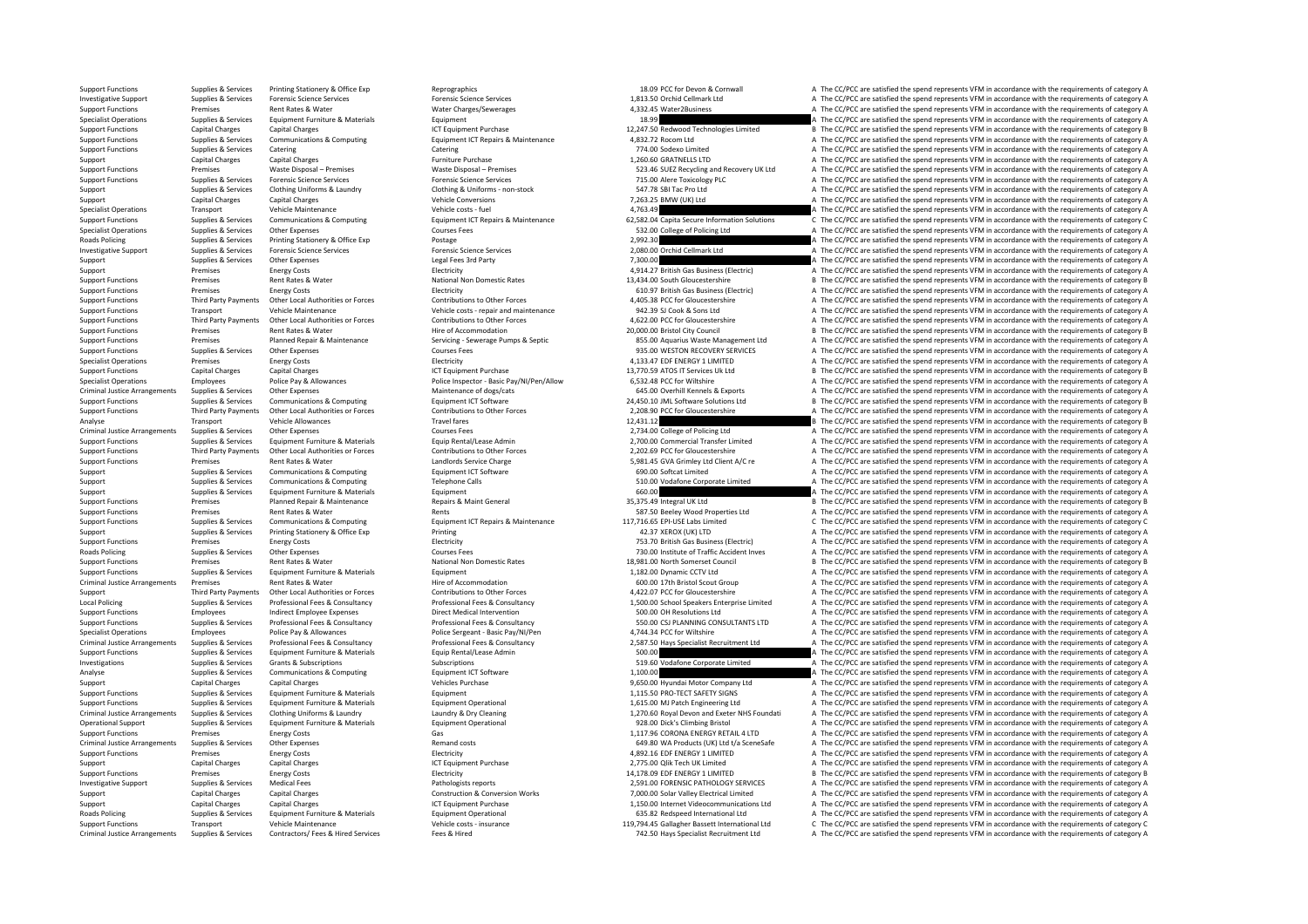Support Functions Supplies & Services Printing Stationery & Office Exp Reprographics Reprographics 18.09 PCC for Devon & Cornwall A The CC/PCC are satisfied the spend represents VFM in accordance with the requirements of c Investigative Support Support Support Support Services Forensic Science Services Forensic Science Services Forensic Science Services Forensic Science Services Forensic Science Services Forensic Science Services and a 23.15 Support Functions Security Premises Rent Rates & Mater Mater Mater Mater Mater Mater A The CL/PC are a material the spend represents VFM in accordance with the sequirements of category A The CL/PC are satisfied the spend r Specialist Operations Supplies & Services Equipment Furniture & Materials Equipment Purchase Equipment Purchase<br>
Support Functions Support Purchase Capital Charges Capital Charges Capital Charges Capital Charges Capital Ch Support Functions Capital Charges Capital Charges ICT Equipment Purchase 12,247.50 Redwood Technologies Limited B The CC/PCC are satisfied the spend represents VFM in accordance with the requirements of category B Support Support Functions Supplies & Services Communications & Computing Equipment ICT Repairs & Maintenance 4,832.72 Rocom Ltd A The CC/PCC are satisfied the spend represents VFM in accordance with the requirements of category A Support Functions Supplies & Services Catering Catering Catering Catering Catering Catering Catering Catering Catering Catering Catering Catering Catering Catering Catering Catering Catering Catering Purchase Category A Th Support Capital Charges Capital Charges Furniture Purchase Fundium Purchase 1,260.66 GRATNELLS LTD A The CC/PCC are satisfied the spend represents VFM in accordance with the requirements of category A Support Functions Premises Waste Disposal – Premises Waste Disposal – Premises Waste Disposal – Premises Waste Disposal – Premises Waste Disposal – Premises Waste Disposal – Premises Waste Disposal – Premises S23.46 SUEZ R Support Functions Supplies & Services Forensic Science Services Forensic Science Services Forensic Science Services Forensic Science Services Forensic Science Services Forensic Science Services 715.00 Alere Toxicology PLC Support Support Support Clothing Uniforms & Laundry Clothing & Uniforms can stock 547.78 SBI Tac Pro Ltd A The CC/PCC are satisfied the spend represents VEM in accordance with the souisements of category A The CC/PCC are s Support Capital Charges Capital Charges Capital Charges Provide Conversions Vehicle Conversions 7,263.25 BMW (UK) Ltd A The CC/PCC are satisfied the spend represents VFM in accordance with the requirements of category A Th Specialist Operations Transport Vehicle Maintenance Vehicle costs – fuel vehicle costs – fuel 4,763.49 A The CC/PCC are satisfied the spend represents VFM in accordance with the requirements of category A The CO/PCC are sa Supplies & Services Communications & Computing Equipment ICT Repairs & Maintenance 62,582.04 Capita Secure Information Solutions C The CC/PCC are satisfied the spend represents VFM in accordance with the requirements of ca Specialist Operations Supplies & Services Other Expenses Samples Courses Fees 532.00 College of Policing Ltd A The CC/PCC are satisfied the spend represents VFM in accordance with the requirements of category A Roads Policing Supplies & Services Printing Stationery & Office Exp Postage 2,992.30 Printing Stationery & Office Exp Postage 2,992.30 A The CC/PCC are satisfied the spend represents VFM in accordance with the requirements Investigative Support Supplies & Services Forensic Science Services Forensic Science Services Procensic Science Services Forensic Science Services Forensic Science Services Forensic Science Services 2,080.00 Orchid Cellmar Support Supplies & Services Other Expenses 2001 and Support Legal Fees 3rd Party Party 1,300.00 and a The CC/PCC are satisfied the spend represents VFM in accordance with the requirements of category A The Support Category Support Premises Energy Costs Energy Costs Energy Costs Electricity Electricity A The CC/PCC are satisfied the spend represents VFM in accordance with the requirements of category A The Support Functions and the requiremen Support Functions Premises Rent Rates & Water National Non Domestic Rates 13,434.00 South Gloucestershire B The CC/PCC are satisfied the spend represents VFM in accordance with the requirements of category B Support Functions Premises Energy Costs Energy Costs Electricity Electricity Electricity and the spend represents VFM in accordance with the requirements of category A Support Functions and Englesting Third Party Payments Other Local Authorities or Forces Contributions to Other Forces Contributions to Other Forces Contributions of the Forces and ACCOS-38 PCC for Gloucestershire and ACCOP Support Functions Transport Vehicle Maintenance Vehicle costs – repair and maintenance 942.39 SJ Cook & Sons Ltd A The CC/PCC are satisfied the spend represents VFM in accordance with the requirements of category A The CC/ Support Functions and Third Party Payments Other Local Authorities or Forces Contributions to Other Forces Contributions to Other Forces and the COLOGO PCC for Gloucestershire and The CC/PCC are satisfied the spend represe B The CC/PCC are satisfied the spend represents VFM in accordance with the requirements of category B Support Functions Premises Premises Planned Repair & Maintenance Servicing - Servicing - Severage Pumps & Septic and a septic and a septic are satisfied the spend represents VFM in accordance with the requirements of categ Support Functions Supplies & Services Other Expenses Courses Courses Fees Courses Courses Courses Courses Courses Courses Courses Courses Courses Courses Courses Courses Courses Courses and the Support Function COVERY SERV Premises Energy Costs Electricity Electricity Electricity and the special and the specialist Operations Premises Energy Costs Energy Costs Energy Costs Energy Costs Energy Costs Electricity and the requirements of category Support Functions Capital Charges Capital Charges 13,770 ATOS ICT Equipment Purchase 13,770.59 ATOS ITS CONTECT Services Uk Ltd B The CC/PCC are satisfied the spend represents VFM in accordance with the requirements of cat Specialist Operations Employees Police Pay & Allowances Police Inspection Police Inspector - Basic Pay/NI/Pen/Allow 6,532.48 PCC for Willshire 6,532.48 PCC for Millshire ATHE CC/PCC are satisfied the spend represents VFM i Other Expenses Computing Maintenance of dogs/cats category A computer of the Section of Maintenance of dogs/cats and the Section of the Section of the Section of the CC/PCC are satisfied the spend represents VFM in accorda Support Functions<br>Support Functions and the control of the control of the control of the control of the control of the control of the control of the control of the control of the control of the control of the control of th Sunnort Eunerions Third Party Payments Other Ioral Authorities or Forces Contributions to Other Forces Contributions to Other Forces 2008 90 PC for Gloucestershire A The CC/PCC are satisfied the spend represents VFM in acc Analyse Transport Vehicle Allowances Travel fares Travel fares Travel fares 12,431.12 B The CC/PCC are satisfied the spend represents VFM in accordance with the requirements of category B Criminal Justice Arrangements Supplies & Services Other Expenses Courses Courses Fees 2,734.00 College of Policing Ltd A The CC/PCC are satisfied the spend represents VFM in accordance with the requirements of category A T Sunnies & Sunnies Sunnies Sunnies Sunnies Sunnies Sunnies Sunnies Sunnies Sunnies Sunnies Sunnies Sunnies Sunnies Sunnies Sunnies Sunnies Sunnies Sunnies Sunnies Sunnies Sunnies Sunnies Sunnies Sunnies Sunnies Sunnies Sunn Support Functions and Development Other Incident Internet Contributions to Chefforces Contributions of Contributions of Contributions of Contributions of Contributions of Contributions of Contributions of Contributions of Support Functions Premises Premises Rent Rates & Water Landlords Service Charge Landlords Service Charge Landlords Service Charge Service Charge Service Service Charge Service Charge 5,981.45 GVA Grimley Ltd Client A/C re Support Supplies & Services Communications & Computing Equipment ICT Software Equipment ICT Software 690.00 Softcat Limited A The CC/PCC are satisfied the spend represents VFM in accordance with the requirements of categor Support Supporters Communications & Computing Telephone Calls 510.00 Vodafone Corporate Limited A The CC/PCC are satisfied the spend represents VFM in accordance with the requirements of category A Support Support Supplies & Services Equipment Furniture & Materials Equipment Equipment Equipment Equipment Equipment Equipment 660.00 are satisfied the spend represents VFM in accordance with the requirements of category Support Functions Premises Planned Repair & Maintenance Repairs Repairs Repairs Advant General 35,375.49 Integral UK Ltd B The CC/PCC are satisfied the spend represents VFM in accordance with the requirements of category B Examples Rent Rates & Water Mater Rents Rents Rents Rents Rents Rents Rents Rents Rents Rents Rents Rents Rent Rents Rents Rent Rents Rent Rents Rent Rents Rent Rents Rent Rents Rents and the spend represent and represents Support Functions Supplies & Services Communications & Computing equipment ICT Repairs & Maintenance 117,716.65 EPI-USE Labs Limited C The CC/PCC are satisfied the spend represents VFM in accordance with the requirements o Support Support Supplies & Services Printing Stationery & Office Exp Printing Printing Printing Printing Printing Printing Printing and the Support A The CC/PCC are satisfied the spend represents VFM in accordance with the of The COSTS Energy Costs Electricity Electricity and the COSTS Electricity 753.70 British Gas Business (Electricity A The CC/PCC are satisfied the spend represents VFM in accordance with the requirements of category A The Roads Policing Supplies & Services Other Expenses Courses Courses Expenses Courses Fees 730.00 Institute of Traffic Accident Inves A The CC/PCC are satisfied the spend represents VFM in accordance with the requirements of Premises Rent Rates & Water Mational Non Domestic Rates 18,981.00 North Somerset Council B The CC/PCC are satisfied the spend represents VFM in accordance with the requirements of category B Support Functions Supplies & Services Equipment Furniture & Materials Equipment Equipment Equipment 1,182.00 Dynamic CCTV Ltd A The CC/PCC are satisfied the spend represents VFM in accordance with the requirements of categ Criminal Justice Arrangements Arrangements Premises Rent Rates Rent Rates Arrangements of Category A The CC/PCC arrangements A The CC/PCC are satisfied the spend represents VFM in accordance with the requirements of catego Third Party Payments Other Local Authorities or Forces Contributions to Other Forces Contributions to Other Forces 4,422.07 PCC for Gloucestershire A The CC/PCC are satisfied the spend represents VFM in accordance with the Local Policing Supplies & Services Professional Fees & Consultancy Professional Fees & Consultancy Professional Fees & Consultancy and the Supplies and the CONCOS School Speakers Enterprise Limited A The CC/PCC are satisfi Support Functions Employees Indirect Employee Expenses Direct Medical Intervention Direct Medical Intervention<br>Support Functions Support Professional Fees & Consultancy Professional Fees & Consultancy Professional Fees & C Support Functions Supplies & Services Professional Fees & Consultancy Professional Fees & Consultancy Professional Fees & Consultancy Professional Fees & Consultancy Professional Fees & Consultancy Professional Fees & Cons Specialist Operations Employees Police Pay & Allowances Police Pay A Microsoft Police Sergeant - Basic Pay/NI/Pen 4,744.34 PCC for Wiltshire A The CC/PCC are satisfied the spend represents VFM in accordance with the requir Professional Fees & Consultancy Professional Fees & Consultancy Consultancy 2,587.50 Hays Specialist Recruitment Ltd A The CC/PCC are satisfied the spend represents VFM in accordance with the requirements of category A Support Functions Supplies & Services Equipment Furniture & Materials Equip Rental/Lease Admin Equip Rental/Lease Admin 500.00 and the Support Equipment Compare and the CC/PCC are satisfied the spend represents VFM in acco Investigations Supplies & Services Grants & Subscriptions Subscriptions Subscriptions Subscriptions Subscriptions Subscriptions Subscriptions Subscriptions Subscriptions Subscriptions Subscriptions Subscriptions Subscripti A The CC/PCC are satisfied the spend represents VFM in accordance with the requirements of category A Support Capital Charges Capital Charges Capital Charges Vehicles Purchase Vehicles Purchase 9,650.00 Hyundai Motor Company Ltd A The CC/PCC are satisfied the spend represents VFM in accordance with the requirements of cate Support Functions Supplies & Services Equipment Furniture & Materials Equipment Equipment 1,115.50 PRO‐TECT SAFETY SIGNS A The CC/PCC are satisfied the spend represents VFM in accordance with the requirements of category A A The CC/PCC are satisfied the spend represents VFM in accordance with the requirements of category A Criminal Justice Arrangements Supplies & Services Clothing Uniforms & Laundry Materials County & Materials and Materials County Materials and Materials and two materials and Exect of Decambent of the CC/PCC are satisfied t Operational Support Supplies & Services Equipment Furniture & Materials Equipment Operational Equipment Operational<br>
Support Functions Premises For the Control of Support of Cases (as Cases Cases Cases Cases Cases 1117) A Support Functions Premises A The CC/PCC are satisfied the spend represents VFM in accordance with the requirements of category A The CC/PCC are satisfied the spend represents VFM in accordance with the requirements of cate Criminal Justice Arrangements Supplies & Services Other Expenses Remand costs Remand costs 649.80 WA Products (UK) Ltd t/a SceneSafe A The CC/PCC are satisfied the spend represents VFM in accordance with the requirements o Support Functions Premises Energy Costs Energy Costs Electricity Electricity A S92.16 EDF ENERGY 1 LIMITED A The CC/PCC are satisfied the spend represents VFM in accordance with the requirements of category A Support Capital Charges Capital Charges 2,775,00 Quik Tech UK Limited A The CC/PCC are satisfied the spend represents VFM in accordance with the requirements of category A Support Functions Premises Energy Costs Energy Costs Electricity Electricity Electricity 14,178.09 EDF ENERGY 1 LIMITED B The CC/PCC are satisfied the spend represents VFM in accordance with the requirements of category B Investigative Support Support Support Support Supportes Medical Fees Pathologists reports 2,591.00 FORENSIC PATHOLOGY SERVICES A The CC/PCC are satisfied the spend represents VFM in accordance with the requirements of cate Support Capital Charges Capital Charges Capital Charges Construction & Conversion Works 7,000.00 Solar Valley Electrical Limited A The CC/PCC are satisfied the spend represents VFM in accordance with the requirements of ca Support Capital Charges Capital Charges Capital Charges ICT Equipment Purchase 1,150.00 Internet Videocommunications Ltd A The CC/PCC are satisfied the spend represents VFM in accordance with the requirements of category A Roads Policing Supplies & Services Equipment Furniture & Materials Equipment Operational equipment Operational Ltd A The CC/PCC are satisfied the spend represents VFM in accordance with the requirements of category A Support Functions Transport Vehicle Maintenance Vehicle Costs insurance Vehicle costs vehicle costs vehicle costs vehicle costs vehicle costs vehicle costs vehicle costs vehicle costs vehicle costs vehicle costs vehicle co Criminal Justice Arrangements Supplies & Services Contractors/ Fees & Hired Services Fees & Hired Services Fees & Hired Fees & Hired Fees & Hired Fees A Hired Fees A Hired Services Fees & Hired Fees A Hired Fees A Hired Fe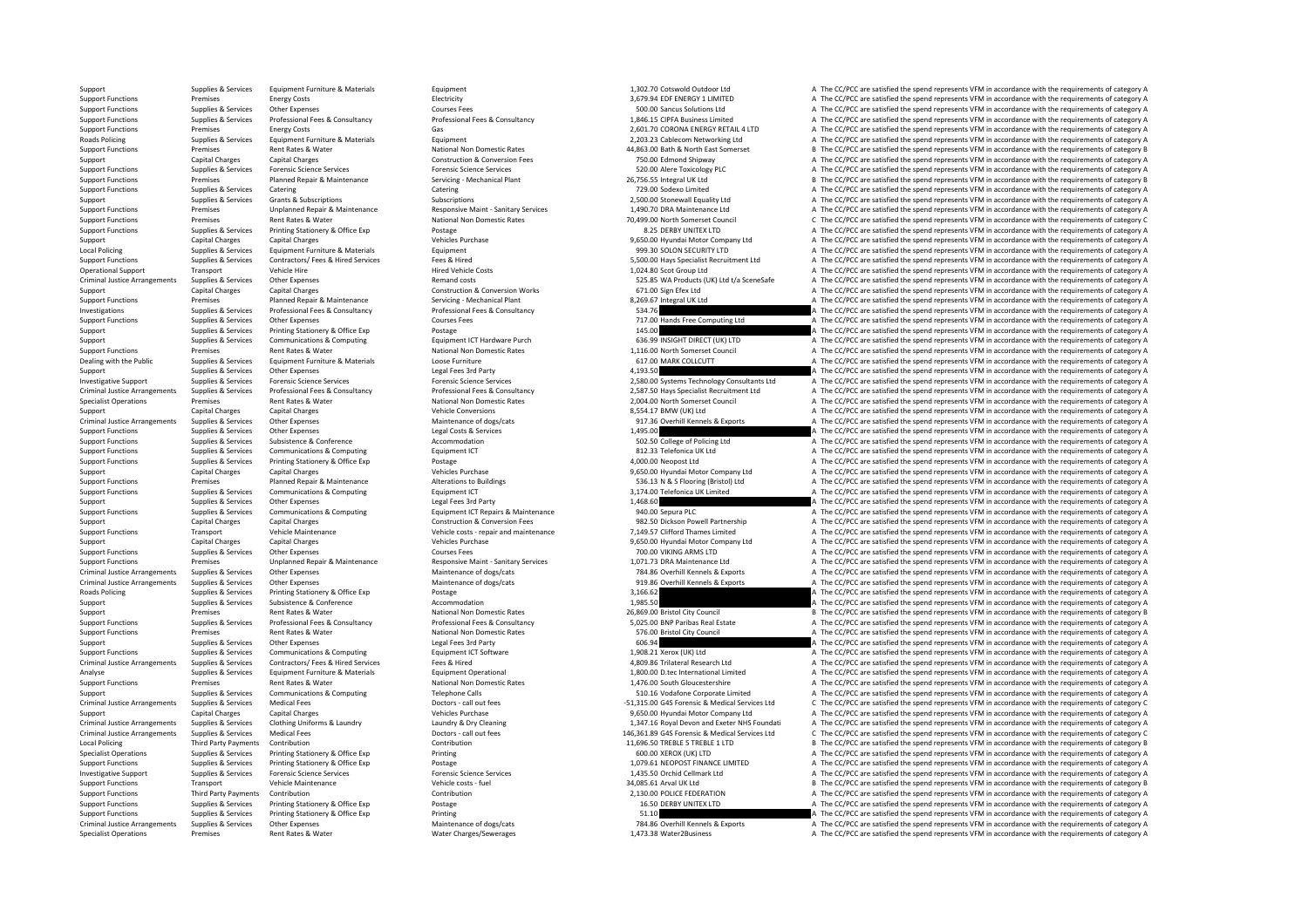Support Support Support Support Equipment Equipment Equipment Equipment Equipment 1,302.70 Cotswold Outdoor Ltd A The CC/PCC are satisfied the spend represents VFM in accordance with the requirements of category A The CC/P Support Functions Premises Energy Costs Electricity Electricity and the contract and the contract are and the contract are satisfied the spend represents VFM in accordance with the requirements of category A The CC/PCC are Support Functions Supplies & Services Other Expenses Courses Courses Courses Courses Courses Courses Courses Courses Courses Courses Courses Courses Courses Courses Courses Courses Courses Courses Courses Courses Courses C Support Functions Supplies & Services Professional Fees & Consultancy Professional Fees & Consultancy Professional Fees & Consultancy Professional Fees & Consultancy and the COLOC SUPPORT A The CC/PCC are satisfied the spe Support Functions Premises Energy Costs Gas Costs Gas 2,601.70 CORONA ENERGY RETAIL 4 LTD A The CC/PCC are satisfied the spend represents VFM in accordance with the requirements of category A The CO/PCC are satisfied the s Equipment Furniture of Category A Capital Supplies A The CC/PCC are satisfied the spend represents VFM in accordance with the requirements of category A Support Functions Premises Rent Rates Rent Rates Rent Rates Rent Rates Rent Rates Rent Rates Adventure in the Support Continuum Continuum Continuum Continuum Continuum Continuum Continuum Continuum Continuum Continuum Cont Support Capital Charges Capital Charges Capital Charges Construction & Construction & Conversion Fees 750.00 Edmond Shipway A The CC/PCC are satisfied the spend represents VFM in accordance with the requirements of categor Support Functions Supplies & Services Forensic Science Services Forensic Science Services Forensic Science Services Forensic Science Services Forensic Science Services Forensic Science Services Forensic Science Servicies P Support Functions Premises Planned Repair & Maintenance Servicing • Mechanical Plant 26,756.55 Integral UK Ltd B The CC/PCC are satisfied the spend represents VFM in accordance with the requirements of category B The CC/PC Support Functions Supplies & Services Catering Catering 729.00 Sodexo Limited <sup>A</sup> The CC/PCC are satisfied the spend represents VFM in accordance with the requirements of category A Support Support Support Subscriptions Subscriptions Subscriptions Subscriptions Subscriptions Subscriptions and the CC/PCC are satisfied the spend represents VFM in accordance with the requirements of category A The CC/PCC of the C/PCC are satisfied the spend represents VFM in accordance with the requirements of category A The C/PCC are satisfied the spend represents VFM in accordance with the requirements of category A The C/PCC are satisfi National Non Domestic Rates **20,499.00 North Somerset Council** C The CC/PCC are satisfied the spend represents VFM in accordance with the requirements of category C Postage of C. At the CC/PCC are satisfied the spend repre Support Functions Supplies & Services Printing Stationery & Office Exp Postage Printing Stationery & Office Exp Postage 8.25 DERBY UNITEX LTD A The CC/PCC are satisfied the spend represents VFM in accordance with the requi Support Capital Charges Capital Charges Capital Charges Vehicles Purchase Vehicles Purchase 9,650.00 Hyundai Motor Company Ltd A The CC/PCC are satisfied the spend represents VFM in accordance with the requirements of cate Local Policing Supplies & Services Equipment Furniture & Materials Equipment Equipment Pure and Security LTD A The CC/PCC are satisfied the spend represents VFM in accordance with the requirements of category A Support Functions Supplies & Services Contractors/ Fees & Hired Services Fees & Hired Services Fees & Hired Services Fees & Hired Vehicle Events Fees & Hired Vehicle Events Fees & Hired Vehicle Events Hired Vehicle Costs H Operational Support Transport Vehicle Hire Vehicle Hire Manuform Hired Vehicle Costs 1,024.80 Scot Group Ltd A The CC/PCC are satisfied the spend represents VFM in accordance with the requirements of category A The CC/PCC Criminal Justice Arrangements Supplies & Services Other Expenses Remand costs Remand costs Remand costs S25.85 WA Products (UK) Ltd t/a SceneSafe A The CC/PCC are satisfied the spend represents VFM in accordance with the r Support Capital Charges Capital Charges Capital Charges Construction & Construction & Conversion Works 671.00 Sign Efex Ltd A The CC/PCC are satisfied the spend represents VFM in accordance with the requirements of categor Support Functions Premises Planned Repair & Maintenance Servicing - Mechanical Plant 8,269.67 Integral UK Ltd A The CC/PCC are satisfied the spend represents VFM in accordance with the requirements of category A Investigations Supplies & Services Professional Fees & Consultancy Professional Fees & Consultancy Professional Fees & Consultancy 534.76 Consultances and Free Computing Ltd A The CC/PCC are satisfied the spend represents Supplies & Services Other Expenses Courses Fees Courses Fees 717.00 Hands Free Computing Ltd A The CC/PCC are satisfied the spend represents VFM in accordance with the requirements of category A The CC/PCC are satisfied th Support Support Support Support Support Support Support Support Support Support Support Support Support Support Support Support Support Support Support Support Support Support Support Support Support Support Support Suppor Support Support Support Support Support Support Communications & Computing Equipment ICT Hardware Purch Equipment Computing and the CONSICHT DIRECT (UK) LTD A The CC/PCC are satisfied the spend represents VFM in accordance Support Functions Premises Premises Rent Rates & Water National Non Domestic Rates National Non Domestic Rates 1,116.00 North Somerset Council A The CC/PCC are satisfied the spend represents VFM in accordance with the requ Supplies & Services Equipment Furniture & Materials Loose Furniture Loose Furniture Loose Furniture Loose Furniture 1992 MARK COLLCUTT A The CC/PCC are satisfied the spend represents VFM in accordance with the requirements Support Support Support Other Expenses Legal Fees 3rd Party 4,193.50 A The CC/PCC are satisfied the spend represents VFM in accordance with the requirements of category A The CC/PCC are satisfied the spend represents VFM i Investigative Support Supplies & Services Forensic Science Services Forensic Science Services Forensic Science Services Forensic Science Services Forensic Science Services (2,580,00 Systems Technology Consultants Ltd A The Criminal Justice Arrangements Supplies & Services Professional Fees & Consultancy Consultancy Professional Fees & Consultancy Professional Fees & Consultancy Professional Fees & Consultancy Professional Fees & Consultancy Premises Rent Rates & Water Mational Non Domestic Rates 2,004.00 North Somerset Council A The CC/PCC are satisfied the spend represents VFM in accordance with the requirements of category A The SC ATHE CC/PCC are satisfied Support Capital Charges Capital Charges Vehicle Conversions Vehicle Conversions 8,554.17 BMW (UK) Ltd A The CC/PCC are satisfied the spend represents VFM in accordance with the requirements of category A Criminal Justice Arrangements Supplies & Services Other Expenses Maintenance of dogs/cats Maintenance of dogs/cats of the CONCENT Maintenance of dogs/cats of the CONCENT ALLY ARRENGED ATTE CONCENTRATIVE ATTE CONCENTRATIVE Support Functions Supplies & Services Other Expenses Legal Costs & Services Legal Costs & Services Legal Costs & Services 1,495.00 A The CC/PCC are satisfied the spend represents VFM in accordance with the requirements of Support Functions Support Subsistence Subsistence A Conference A The CONFerence A The CC/PCC are satisfied the spend represents VFM in accordance with the requirements of category A Support Functions Supplies & Services Communications & Computing Equipment ICT Equipment ICT a Support Equipment ICT and a Support Equipment ICT and a Support Equipment of category A The CC/PCC are satisfied the spend repr Supplies & Services Printing Stationery & Office Exp Postage Principles Protage Principles Principles Principles Principles A The CC/PCC are satisfied the spend represents VFM in accordance with the requirements of categor Support Capital Charges Capital Charges Capital Charges Anantenance Vehicles Purchase Vehicles Purchase 9,650.00 Hyundai Motor Company Ltd A The CC/PCC are satisfied the spend represents VFM in accordance with the requirem Examples Planned Repair & Maintenance Materations to Buildings and Alterations to Buildings and Alterations to Buildings 536.13 N & S Flooring (Bristol) Ltd A The CC/PCC are satisfied the spend represents VFM in accordance Support Functions Supplies & Services Communications & Computing Equipment ICT Equipment ICT 3,174.00 Telefonica UK Limited A The CC/PCC are satisfied the spend represents VFM in accordance with the requirements of categor Support Supplies & Services Other Expenses Legal Fees 3rd Party Legal Fees 3rd Party 1,468.60 A The CC/PCC are satisfied the spend represents VFM in accordance with the requirements of category A Support Functions Supplies & Services Communications & Computing Equipment ICT Repairs & Maintenance 940.00 Sepura PLC A The CC/PCC are satisfied the spend represents VFM in accordance with the requirements of category A T Support Capital Charges Capital Charges Capital Charges Construction & Construction & Conversion Fees 982.50 Dickson Powell Partnership A The CC/PCC are satisfied the spend represents VFM in accordance with the requirement Vehicle costs - repair and maintenance **Vehicle Constrants Transport Vehicle Constrants Constrants Constrants Transport A The CC/PCC are satisfied the spend represents VFM in accordance with the requirements of category A** Support Capital Charges Capital Charges Capital Charges Vehicles Purchase Vehicles Purchase 9,650.00 Hyundai Motor Company Ltd A The CC/PCC are satisfied the spend represents VFM in accordance with the requirements of cate Support Functions Supplies & Services Other Expenses Courses Courses Fees Courses Courses Courses Courses Courses Courses Courses Courses Courses Courses Courses Courses Courses Courses 700.00 VIKING ARMS LTD A The CC/PCC Support Functions and the premises and the control of the control and the control and the control and the control and the control of the control of the control of the control of the control of the control of the control of Criminal Justice Arrangements Supplies & Services Other Expenses Maintenance of dogs/cats Maintenance of dogs/cats Maintenance of dogs/cats and the COVEC are satisfied the spend represents VFM in accordance with the requir Criminal Justice Arrangements Supplies & Services Other Expenses Office Exponses Maintenance of dogs/cats Maintenance of dogs/cats and the service of the COPCC are satisfied the spend represents VFM in accordance with the Explores Printing Stationery & Office Exp Postage Principal Postage 3,166.62 A The CC/PCC are satisfied the spend represents VFM in accordance with the requirements of category A The CC/PCC are satisfied the spend represen Support Support Subsistence Subsistence Conference Accommodation Accommodation Accommodation Accommodation 1,985.50 A The CC/PCC are satisfied the spend represents VFM in accordance with the requirements of category A The Support Premises Rent Rates & Water National Non Domestic Rates 26,869.00 Bristol City Council B The CC/PCC are satisfied the spend represents VFM in accordance with the requirements of category B<br>2013 Support Functions Su Support Functions Supplies & Services Professional Fees & Consultancy Professional Fees & Consultancy Professional Fees & Consultancy Professional Fees & Consultancy (Support Function Support Functions A The CC/PCC are sat Support Functions Premises Rent Rates Rent Rates A Water National Non Domestic Rates ST6.00 Bristol City Council A The CC/PCC are satisfied the spend represents VFM in accordance with the requirements of category A Support Supplies & Services Other Expenses Legal Fees 3rd Party Legal Fees 3rd Party 606.94 A The CC/PCC are satisfied the spend represents VFM in accordance with the requirements of category A Support Functions Supplies & Services Communications & Computing Equipment ICT Software Equipment ICT Software 1,908.21 Xerox (UK) Ltd A The CC/PCC are satisfied the spend represents VFM in accordance with the requirements Supplies & Services Contractors/Fees & Hired Services Fees & Hired Fees & Hired Fees & Hired Fees & Hired Fees & Hired Contractors and the CONCES ASSES AND A SUPPLIES AND A SUPPLIES ASSESS AND A THE CONCESS AND A THE CONCE Analyse Supplies & Services Equipment Furniture & Materials Equipment Operational 1,800.00 D.tec International Limited A The CC/PCC are satisfied the spend represents VFM in accordance with the requirements of category A Support Functions Premises Premises Rent Rates & Water National Non Domestic Rates National Non Domestic Rates 1,476.00 South Gloucestershire A The CC/PCC are satisfied the spend represents VFM in accordance with the requi Support Support Support Support Support Support Support Support Support Support Support Support Support Support Support Support Support Support Support Support Support Support Support Support Support Support Support Medica C The CC/PCC are satisfied the spend represents VFM in accordance with the requirements of category C Support Capital Charges Capital Charges Capital Charges Purchase Vehicles Purchase 9,650.00 Hyundai Motor Company Ltd A The CC/PCC are satisfied the spend represents VFM in accordance with the requirements of category A Cr Criminal Justice Arrangements Supplies & Services Clothing Uniforms & Laundry Management and Dectors - call out fees<br>Criminal Justice Arrangements Supplies & Services Medical Fees Dectors - call out fees Dectors - call out Medical Fees<br>
Doctors - call out fees<br>
Contribution Contribution Contribution Contribution Contribution Contribution Contribution<br>
Contribution Contribution Contribution Contribution Contribution Contribution Contribution Local Policing Third Party Payments Contribution Contribution Contribution Contribution Contribution Contribution Contribution Contribution 11,696.50 TREBLE 5 TREBLE 1 LTD B The CC/PCC are satisfied the spend represents VF Specialist Operations Supplies & Services Printing Stationery & Office Exp Printing Printing Printing exp Printing 600.00 XEROX (UK) LTD A The CC/PCC are satisfied the spend represents VFM in accordance with the requiremen Support Functions Supplies & Services Printing Stationery & Office Exp Postage Postage 1,079.61 NEOPOST FINANCE LIMITED A The CC/PCC are satisfied the spend represents VFM in accordance with the requirements of category A Investigative Support Supplies & Services Forensic Science Services Forensic Science Services Forensic Science Services Forensic Science Services Forensic Science Services A The CC/PCC are satisfied the spend represents VF Support Functions Transport Vehicle Maintenance Vehicle Maintenance Vehicle costs – fuel 34,085.61 Arval UK Itd B The CC/PCC are satisfied the spend represents VFM in accordance with the requirements of category B Support Functions Third Party Payments Contribution Contribution Contribution Contribution Contribution Contribution Contribution 2,130.00 POLICE FEDERATION A The CC/PCC are satisfied the spend represents VFM in accordance Support Functions Supplies & Services Printing Stationery & Office Exp Postage Printing Stationery & Office Exp Postage 16.50 DERBY UNITEX LTD A The CC/PCC are satisfied the spend represents VFM in accordance with the requ Support Functions Supplies & Services Printing Stationery & Office Exp Printing Printing Printing Printing Printing Printing Printing Printing Printing Printing States Printing Printing Printing Printing Printing States an Criminal lustice Arrangements Suppliers Suppliers Cumpliers Cumpliers Cumpliers of the Expenses Cumplinate of Completion Maintenance of dogs/cats 784.86 Overhill Kennels & Exports The CC/PCC are satisfied the spend represe Specialist Operations Premises Rent Rates & Water Water Charges/Sewerages Mater 2013.38 Water2Business A The CC/PCC are satisfied the spend represents VFM in accordance with the requirements of category A